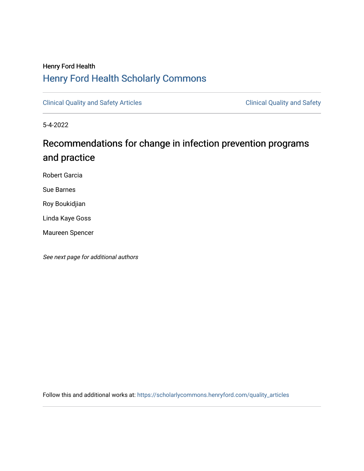# Henry Ford Health [Henry Ford Health Scholarly Commons](https://scholarlycommons.henryford.com/)

[Clinical Quality and Safety Articles](https://scholarlycommons.henryford.com/quality_articles) Clinical Quality and Safety

5-4-2022

# Recommendations for change in infection prevention programs and practice

Robert Garcia

Sue Barnes

Roy Boukidjian

Linda Kaye Goss

Maureen Spencer

See next page for additional authors

Follow this and additional works at: [https://scholarlycommons.henryford.com/quality\\_articles](https://scholarlycommons.henryford.com/quality_articles?utm_source=scholarlycommons.henryford.com%2Fquality_articles%2F3&utm_medium=PDF&utm_campaign=PDFCoverPages)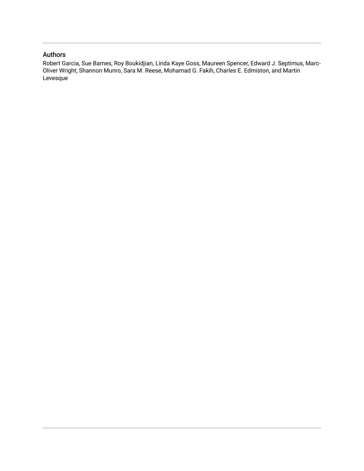### Authors

Robert Garcia, Sue Barnes, Roy Boukidjian, Linda Kaye Goss, Maureen Spencer, Edward J. Septimus, Marc-Oliver Wright, Shannon Munro, Sara M. Reese, Mohamad G. Fakih, Charles E. Edmiston, and Martin **Levesque**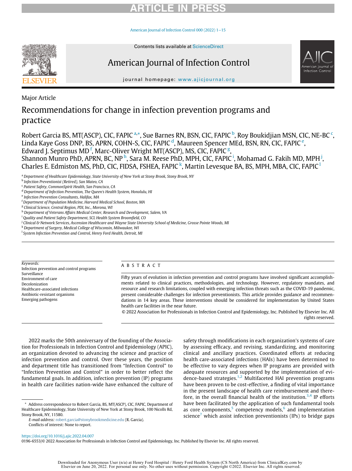# RTICLE IN PR

[American Journal of Infection Control 000 \(2022\) 1](https://doi.org/10.1016/j.ajic.2022.04.007)−15



Contents lists available at [ScienceDirect](http://www.ScienceDirect.com)

# American Journal of Infection Control



journal homepage: [www.ajicjournal.org](http://www.ajicjournal.org)

Major Article

### Recommendations for change in infection prevention programs and practice

Robert Garcia BS, MT(ASCP), CIC, FAPIC <sup>[a,](#page-2-0)\*</sup>, Sue Barnes RN, BSN, CIC, FAPIC <sup>[b](#page-2-2)</sup>, Roy Boukidjian MSN, CIC, NE-BC <sup>[c](#page-2-3)</sup>, Lin[d](#page-2-4)a Kay[e](#page-2-5) Goss DNP, BS, APRN, COHN-S, CIC, FAPIC <sup>d</sup>, Maureen Spencer MEd, BSN, RN, CIC, FAPIC <sup>e</sup>, Edward J. Septimus MD<sup>[f](#page-2-6)</sup>, Marc-Oliver Wri[g](#page-2-7)ht MT(ASCP), MS, CIC, FAPIC<sup>g</sup>,

S[h](#page-2-8)annon Munro PhD, APRN, BC, NP <sup>h</sup>, Sara M. Reese PhD, MPH, CIC, FAPIC <sup>[i](#page-2-9)</sup>, Mohamad G. Fakih MD, MPH <sup>[j](#page-2-10)</sup>, Charles E. Edmiston MS, PhD, CIC, FIDSA, FSHEA, FAPIC<sup>[k](#page-2-11)</sup>, Martin Levesque BA, BS, MPH, MBA, CIC, FAPIC<sup>1</sup>

<span id="page-2-0"></span><sup>a</sup> Department of Healthcare Epidemiology, State University of New York at Stony Brook, Stony Brook, NY

<span id="page-2-2"></span>**b** Infection Preventionist (Retired), San Mateo, CA

<span id="page-2-3"></span><sup>c</sup> Patient Safety, CommonSpirit Health, San Francisco, CA

<span id="page-2-4"></span><sup>d</sup> Department of Infection Prevention, The Queen's Health System, Honolulu, HI

<span id="page-2-5"></span><sup>e</sup> Infection Prevention Consultants, Halifax, MA

<span id="page-2-6"></span>f Department of Population Medicine, Harvard Medical School, Boston, MA

<span id="page-2-7"></span><sup>g</sup> Clinical Science, Central Region, PDI, Inc., Morona, WI

<span id="page-2-8"></span>h Department of Veterans Affairs Medical Center, Research and Development, Salem, VA

<span id="page-2-9"></span><sup>i</sup> Quality and Patient Safety Department, SCL Health System Broomfield, CO

<span id="page-2-10"></span><sup>j</sup> Clinical & Network Services, Ascension Healthcare and Wayne State University School of Medicine, Grosse Pointe Woods, MI

<span id="page-2-11"></span> $^{\rm k}$  Department of Surgery, Medical College of Wisconsin, Milwaukee, WI

<span id="page-2-12"></span><sup>1</sup> System Infection Prevention and Control, Henry Ford Health, Detroit, MI

Keywords: Infection prevention and control programs Surveillance Environment of care Decolonization Healthcare-associated infections Antibiotic-resistant organisms Emerging pathogens

#### ABSTRACT

Fifty years of evolution in infection prevention and control programs have involved significant accomplishments related to clinical practices, methodologies, and technology. However, regulatory mandates, and resource and research limitations, coupled with emerging infection threats such as the COVID-19 pandemic, present considerable challenges for infection preventionists. This article provides guidance and recommendations in 14 key areas. These interventions should be considered for implementation by United States health care facilities in the near future.

© 2022 Association for Professionals in Infection Control and Epidemiology, Inc. Published by Elsevier Inc. All rights reserved.

2022 marks the 50th anniversary of the founding of the Association for Professionals in Infection Control and Epidemiology (APIC), an organization devoted to advancing the science and practice of infection prevention and control. Over these years, the position and department title has transitioned from "Infection Control" to "Infection Prevention and Control" in order to better reflect the fundamental goals. In addition, infection prevention (IP) programs in health care facilities nation-wide have enhanced the culture of

<span id="page-2-1"></span>\* Address correspondence to Robert Garcia, BS, MT(ASCP), CIC, FAPIC, Department of Healthcare Epidemiology, State University of New York at Stony Brook, 100 Nicolls Rd, Stony Brook, NY, 11580.

E-mail address: [robert.garcia@stonybrookmedicine.edu](mailto:robert.garcia@stonybrookmedicine.edu) (R. Garcia). Conflicts of interest: None to report.

safety through modifications in each organization's systems of care by assessing efficacy, and revising, standardizing, and monitoring clinical and ancillary practices. Coordinated efforts at reducing health care-associated infections (HAIs) have been determined to be effective to vary degrees when IP programs are provided with adequate resources and supported by the implementation of evi-dence-based strategies.<sup>[1](#page-13-0)[,2](#page-13-1)</sup> Multifaceted HAI prevention programs have been proven to be cost-effective, a finding of vital importance in the present landscape of health care reimbursement and there-fore, in the overall financial health of the institution.<sup>[3](#page-13-2),[4](#page-13-3)</sup> IP efforts have been facilitated by the application of such fundamental tools as core components, $5 \text{ competency models}$  $5 \text{ competency models}$ , and implementation science<sup>[7](#page-13-6)</sup> which assist infection preventionists (IPs) to bridge gaps

0196-6553/© 2022 Association for Professionals in Infection Control and Epidemiology, Inc. Published by Elsevier Inc. All rights reserved.

<https://doi.org/10.1016/j.ajic.2022.04.007>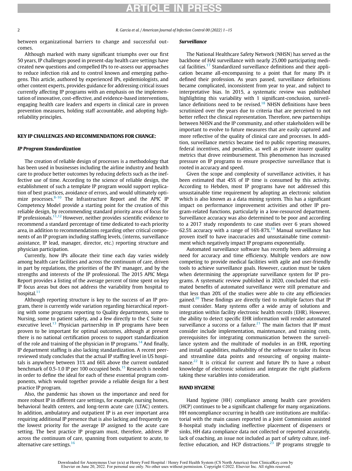2 R. Garcia et al. / American Journal of Infection Control 00 (2022) 1−15

between organizational barriers to change and successful outcomes.

Although marked with many significant triumphs over our first 50 years, IP challenges posed in present-day health care settings have created new questions and compelled IPs to re-assess our approaches to reduce infection risk and to control known and emerging pathogens. This article, authored by experienced IPs, epidemiologists, and other content experts, provides guidance for addressing critical issues currently affecting IP programs with an emphasis on the implementation of innovative, cost-effective, and evidence-based interventions, engaging health care leaders and experts in clinical care in proven prevention measures, holding staff accountable, and adopting highreliability principles.

#### KEY IP CHALLENGES AND RECOMMENDATIONS FOR CHANGE:

#### IP Program Standardization

The creation of reliable design of processes is a methodology that has been used in businesses including the airline industry and health care to produce better outcomes by reducing defects such as the ineffective use of time. According to the science of reliable design, the establishment of such a template IP program would support replication of best practices, avoidance of errors, and would ultimately opti-mize processes.<sup>[8-10](#page-13-7)</sup> The Infrastructure Report and the APIC IP Competency Model provide a starting point for the creation of this reliable design, by recommending standard priority areas of focus for IP professionals.[11,](#page-13-8)[12](#page-13-9) However, neither provides scientific evidence to recommend a standard percentage of time dedicated to each priority area, in addition to recommendations regarding other critical components of an IP program including staffing levels, (interns, surveillance assistance, IP lead, manager, director, etc.) reporting structure and physician participation.

Currently, how IPs allocate their time each day varies widely among health care facilities and across the continuum of care, driven in part by regulations, the priorities of the IPs' manager, and by the strengths and interests of the IP professional. The 2015 APIC Mega Report provides a listing of the average percent of time spent on key IP focus areas but does not address the variability from hospital to hospital. $11$ 

Although reporting structure is key to the success of an IP program, there is currently wide variation regarding hierarchical reporting with some programs reporting to Quality departments, some to Nursing, some to patient safety, and a few directly to the C Suite or executive level.<sup>[13](#page-13-10)</sup> Physician partnership in IP programs have been proven to be important for optimal outcomes, although at present there is no national certification process to support standardization of the role and training of the physician in IP programs.<sup>[14](#page-13-11)</sup> And finally, IP department staffing is also lacking standardization. A recent peerreviewed study concludes that the actual IP staffing level in US hospitals is anywhere between 31% and 66% above the current outdated benchmark of 0.5-1.0 IP per 100 occupied beds.<sup>[15](#page-13-12)</sup> Research is needed in order to define the ideal for each of these essential program components, which would together provide a reliable design for a best practice IP program.

Also, the pandemic has shown us the importance and need for more robust IP in different care settings, for example, nursing homes, behavioral health centers, and long-term acute care (LTAC) centers. In addition, ambulatory and outpatient IP is an ever important area requiring additional IP presence that is also lacking and frequently on the lowest priority for the average IP assigned to the acute care setting. The best practice IP program must, therefore, address IP across the continuum of care, spanning from outpatient to acute, to alternative care settings.<sup>[16](#page-13-13)</sup>

#### Surveillance

The National Healthcare Safety Network (NHSN) has served as the backbone of HAI surveillance with nearly 25,000 participating medi-cal facilities.<sup>[17](#page-13-14)</sup> Standardized surveillance definitions and their application became all-encompassing to a point that for many IPs it defined their profession. As years passed, surveillance definitions became complicated, inconsistent from year to year, and subject to interpretative bias. In 2015, a systematic review was published highlighting this variability with 1 significant-conclusion, surveil-lance definitions need to be revised.<sup>[18](#page-13-15)</sup> NHSN definitions have been scrutinized over the years due to criteria that are perceived to not better reflect the clinical representation. Therefore, new partnerships between NHSN and the IP community, and other stakeholders will be important to evolve to future measures that are easily captured and more reflective of the quality of clinical care and processes. In addition, surveillance metrics became tied to public reporting measures, federal incentives, and penalties, as well as private insurer quality metrics that drove reimbursement. This phenomenon has increased pressure on IP programs to ensure prospective surveillance that is rooted in accuracy and speed.

Given the scope and complexity of surveillance activities, it has been estimated that 45% of IP time is consumed by this activity. According to Hebden, most IP programs have not addressed this unsustainable time requirement by adopting an electronic solution which is also known as a data mining system. This has a significant impact on performance improvement activities and other IP program-related functions, particularly in a low-resourced department. Surveillance accuracy was also determined to be poor and according to a 2017 study respondents to case studies over 6 years showed 62.5% accuracy with a range of  $16\% - 87\%$ .<sup>[19](#page-13-16)</sup> Manual surveillance has proven itself to have inaccuracies and unsustainable time commitment which negatively impact IP programs exponentially.

Automated surveillance software has recently been addressing a need for accuracy and time efficiency. Multiple vendors are now competing to provide medical facilities with agile and user-friendly tools to achieve surveillance goals. However, caution must be taken when determining the appropriate surveillance system for IP programs. A systematic review published in 2020, concluded that estimated benefits of automated surveillance were still premature and that less than 20% of the studies were able to cite any efficiencies gained.<sup>20</sup> These findings are directly tied to multiple factors that IP must consider. Many systems offer a wide array of solutions and integration within facility electronic health records (EHR). However, the ability to detect specific EHR information will render automated surveillance a success or a failure.<sup>21</sup> The main factors that IP must consider include implementation, maintenance, and training costs, prerequisites for integrating communication between the surveillance system and the multitude of modules in an EHR, reporting and install capabilities, malleability of the software to tailor its focus and streamline data points and resourcing of ongoing maintenance. $22$  It is critical for current and future IPs to have a robust knowledge of electronic solutions and integrate the right platform taking these variables into consideration.

#### HAND HYGIENE

Hand hygiene (HH) compliance among health care providers (HCP) continues to be a significant challenge for many organizations. HH noncompliance occurring in health care institutions are multifactorial with the main causes reported in a Joint Commission assisted 8-hospital study including ineffective placement of dispensers or sinks, HH data compliance data not collected or reported accurately, lack of coaching, an issue not included as part of safety culture, inef-fective education, and HCP distractions.<sup>[23](#page-13-20)</sup> IP programs struggle to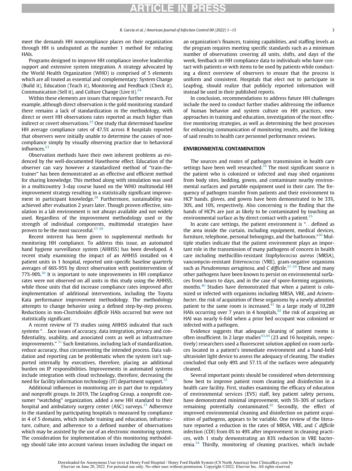meet the demands HH noncompliance places on their organization through HH is undisputed as the number 1 method for reducing HAIs.

Programs designed to improve HH compliance involve leadership support and extensive system integration. A strategy advocated by the World Health Organization (WHO) is comprised of 5 elements which are all touted as essential and complementary: System Change (Build it), Education (Teach it), Monitoring and Feedback (Check it), Communication (Sell it), and Culture Change (Live it).  $24$ 

Within these elements are issues that require further research. For example, although direct observation is the gold monitoring standard there remains a lack of standardization in the methodology, with direct or overt HH observations rates reported as much higher than indirect or covert observations.<sup>[25](#page-13-22)</sup> One study that determined baseline HH average compliance rates of 47.5% across 8 hospitals reported that observers were initially unable to determine the causes of noncompliance simply by visually observing practice due to behavioral influences.<sup>[23](#page-13-20)</sup>

Observation methods have their own inherent problems as evidenced by the well-documented Hawthorne effect. Education of the observer can vary however a standardized method of "train-thetrainer" has been demonstrated as an effective and efficient method for sharing knowledge. This method along with simulation was used in a multicountry 3-day course based on the WHO multimodal HH improvement strategy resulting in a statistically significant improve-ment in participant knowledge.<sup>[26](#page-13-23)</sup> Furthermore, sustainability was achieved after evaluation 2 years later. Though proven effective, simulation in a lab environment is not always available and not widely used. Regardless of the improvement methodology used or the strength of individual components, multimodal strategies have proven to be the most successful.<sup>[27-29](#page-13-24)</sup>

Recent interest has been given to supplemental methods for monitoring HH compliance. To address this issue, an automated hand hygiene surveillance system (AHHSS) has been developed. A recent study examining the impact of an AHHSS installed on 4 patient units in 1 hospital, reported unit-specific baseline quarterly averages of 66%-95% by direct observation with postintervention of  $77\%$ -90%<sup>[30](#page-13-25)</sup> It is important to note improvements in HH compliance rates were not observed on all units in this study using the AHHSS, while those units that did increase compliance rates improved after implementation of additional interventions, including the Toyota Kata performance improvement methodology. The methodology attempts to change behavior using a defined step-by-step process. Reductions in non-Clostridioides difficile HAIs occurred but were not statistically significant.

A recent review of 73 studies using AHHSS indicated that such systems "...face issues of accuracy, data integration, privacy and confidentiality, usability, and associated costs as well as infrastructure improvements."  $31$  Such limitations, including lack of standardization, reduce accuracy, thus circumventing the intended process. Data validation and reporting can be problematic when the system isn't supported internally by executives, therefore, placing an additional burden on IP responsibilities. Improvements in automated systems include integration with cloud technology, therefore, decreasing the need for facility information technology  $(IT)$  department support.<sup>[32](#page-13-27)</sup>

Additional influences in monitoring are in part due to regulatory and nonprofit groups. In 2019, The Leapfrog Group, a nonprofit consumer "watchdog" organization, added a new HH standard to their hospital and ambulatory surgery center (ASC) surveys.<sup>[33](#page-13-28)</sup> Adherence to the standard by participating hospitals is measured by compliance in 4 of 5 domains, which include training and education, infrastructure, culture, and adherence to a defined number of observations which may be assisted by the use of an electronic monitoring system. The consideration for implementation of this monitoring methodology should take into account various issues including the impact on an organization's finances, training capabilities, and staffing levels as the program requires meeting specific standards such as a minimum number of observations covering all units, shifts, and days of the week, feedback on HH compliance data to individuals who have contact with patients or with items to be used by patients while conducting a direct overview of observers to ensure that the process is uniform and consistent. Hospitals that elect not to participate in Leapfrog, should realize that publicly reported information will instead be used in their published reports.

In conclusion, recommendations to address future HH challenges include the need to conduct further studies addressing the influence of human behavior and system culture on HH practices, new approaches in training and education, investigation of the most effective monitoring strategies, as well as determining the best processes for enhancing communication of monitoring results, and the linking of said results to health care personnel performance reviews.

#### ENVIRONMENTAL CONTAMINATION

The sources and routes of pathogen transmission in health care settings have been well researched.<sup>[34](#page-13-29)</sup> The most significant source is the patient who is colonized or infected and may shed organisms from body sites, bedding, gowns, and contaminate nearby environmental surfaces and portable equipment used in their care. The frequency of pathogen transfer from patients and their environment to HCP hands, gloves, and gowns have been demonstrated to be 33%, 30%, and 10%, respectively. Also concerning is the finding that the hands of HCPs are just as likely to be contaminated by touching an environmental surface as by direct contact with a patient.<sup>[35](#page-13-30)</sup>

In acute care settings, the patient environment is "...defined as the area inside the curtain, including equipment, medical devices, furniture, telephone, personal belongings, and the bathroom."<sup>[36](#page-13-31)</sup> Multiple studies indicate that the patient environment plays an important role in the transmission of many pathogens of concern in health care including methicillin-resistant Staphylococcus aureus (MRSA), vancomycin-resistant Enterococcus (VRE), gram-negative organisms such as Pseudomonas aeruginosa, and C difficile.<sup>[37-39](#page-13-32)</sup> These and many other pathogens have been known to persist on environmental surfaces from hours to days, and in the case of spore-forming organisms, months.<sup>[40](#page-13-33)</sup> Studies have demonstrated that when a patient is colonized or infected with organisms including MRSA, VRE, and Acinetobacter, the risk of acquisition of these organisms by a newly admitted patient to the same room is increased. $41$  In a large study of 10,289 HAIs occurring over 7 years in 4 hospitals,  $42$  the risk of acquiring an HAI was nearly 6-fold when a prior bed occupant was colonized or infected with a pathogen.

Evidence suggests that adequate cleaning of patient rooms is often insufficient. In 2 large studies<sup> $43,44$  $43,44$  $43,44$ </sup> (23 and 16 hospitals, respectively) researchers used a fluorescent solution applied on room surfaces located in a patient's immediate environment and a hand-held ultraviolet light device to assess the adequacy of cleaning. The studies concluded that only 49% and 57.1% of the surfaces were adequately cleaned.

Several important points should be considered when determining how best to improve patient room cleaning and disinfection in a health care facility. First, studies examining the efficacy of education of environmental services (EVS) staff, key patient safety persons, have demonstrated minimal improvement, with 5%-30% of surfaces remaining potentially contaminated. $45$  Secondly, the effect of improved environmental cleaning and disinfection on patient acquisition of pathogens, appears to be variable. One review of the literature reported a reduction in the rates of MRSA, VRE, and C difficile infection (CDI) from 0% to 49% after improvement in cleaning practices, with 1 study demonstrating an 83% reduction in VRE bacteremia.[34](#page-13-29) Thirdly, monitoring of cleaning practices, which include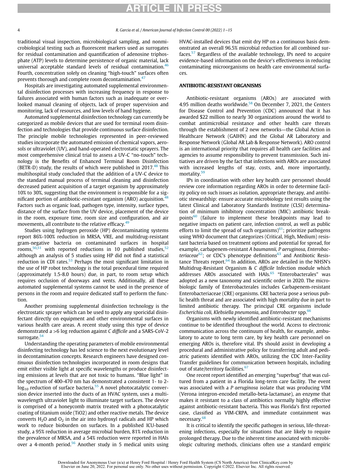traditional visual inspection, microbiological sampling, and nonmicrobiological testing such as fluorescent markers used as surrogates for residual contamination and quantification of adenosine triphosphate (ATP) levels to determine persistence of organic material, lack universal acceptable standard levels of residual contamination.<sup>[46](#page-14-4)</sup> Fourth, concentration solely on cleaning "high-touch" surfaces often prevents thorough and complete room decontamination.<sup>[47](#page-14-5)</sup>

Hospitals are investigating automated supplemental environmental disinfection processes with increasing frequency in response to failures associated with human factors such as inadequate or overlooked manual cleaning of objects, lack of proper supervision and monitoring, lack of resources, and low levels of hand hygiene.

Automated supplemental disinfection technology can currently be categorized as mobile devices that are used for terminal room disinfection and technologies that provide continuous surface disinfection. The principle mobile technologies represented in peer-reviewed studies incorporate the automated emission of chemical vapors, aerosols or ultraviolet (UV), and hand-operated electrostatic sprayers. The most comprehensive clinical trial to assess a UV-C "no-touch" technology is the Benefits of Enhanced Terminal Room Disinfection (BETR-D) study, the results of which were published in  $2017<sup>48</sup>$  $2017<sup>48</sup>$  $2017<sup>48</sup>$  This multihospital study concluded that the addition of a UV-C device to the standard manual process of terminal cleaning and disinfection decreased patient acquisition of a target organism by approximately 10% to 30%, suggesting that the environment is responsible for a significant portion of antibiotic-resistant organism (ARO) acquisition. $48$ Factors such as organic load, pathogen type, intensity, surface types, distance of the surface from the UV device, placement of the device in the room, exposure time, room size and configuration, and air movements, all contribute to the relative efficacy.<sup>[49](#page-14-7)</sup>

Studies using hydrogen peroxide (HP) decontaminating systems report 86%-100% reduction in MRSA, VRE, and multidrug-resistant gram-negative bacteria on contaminated surfaces in hospital rooms, $50,51$  $50,51$  with reported reductions in 10 published studies,  $52$ although an analysis of 5 studies using HP did not find a statistical reduction in CDI rates. $53$  Perhaps the most significant limitation in the use of HP robot technology is the total procedural time required (approximately 1.5-8.0 hours) due, in part, to room setup which requires occlusion of doorways and vents. Additionally, all these automated supplemental systems cannot be used in the presence of persons in the room and require dedicated staff to perform the function.

Another promising supplemental disinfection technology is the electrostatic sprayer which can be used to apply any sporicidal disinfectant directly on equipment and other environmental surfaces in various health care areas. A recent study using this type of device demonstrated a >6 log reduction against C difficile and a SARS-CoV-2 surrogate.<sup>[54](#page-14-12)</sup>

Understanding the operating parameters of mobile environmental disinfecting technology has led science to the next evolutionary level in decontamination concepts. Research engineers have designed continuous disinfection technologies incorporated in room designs that emit either visible light at specific wavelengths or produce disinfecting emissions at levels that are not toxic to humans. "Blue light" in the spectrum of 400-470 nm has demonstrated a consistent 1- to 2  $log_{10}$  reduction of surface bacteria.<sup>[55](#page-14-13)</sup> A novel photocatalytic conversion device inserted into the ducts of an HVAC system, uses a multiwavelength ultraviolet light to illuminate target surfaces. The device is comprised of a honeycomb matrix treated with a photocatalytic coating of titanium oxide (TiO2) and other reactive metals. The device converts  $H_2O$  and  $O_2$  in the air into hydroxyl radicals and HP which work to reduce bioburden on surfaces. In a published ICU-based study, a 95% reduction in average microbial burden, 81% reduction in the prevalence of MRSA, and a 54% reduction were reported in HAIs over a 4-month period.<sup>56</sup> Another study in 5 medical units using HVAC-installed devices that emit dry HP on a continuous basis demonstrated an overall 96.5% microbial reduction for all combined surfaces.[57](#page-14-15) Regardless of the available technology, IPs need to acquire evidence-based information on the device's effectiveness in reducing contaminating microorganisms on health care environmental surfaces.

#### ANTIBIOTIC-RESISTANT ORGANISMS

Antibiotic-resistant organisms (AROs) are associated with 4.95 million deaths worldwide.<sup>58</sup> On December 7, 2021, the Centers for Disease Control and Prevention (CDC) announced that it has awarded \$22 million to nearly 30 organizations around the world to combat antimicrobial resistance and other health care threats through the establishment of 2 new networks—the Global Action in Healthcare Network (GAIHN) and the Global AR Laboratory and Response Network (Global AR Lab & Response Network). ARO control is an international priority that requires all health care facilities and agencies to assume responsibility to prevent transmission. Such initiatives are driven by the fact that infections with AROs are associated with increased lengths of stay, costs, and, more importantly, mortality.<sup>[59](#page-14-17)</sup>

IPs in coordination with other key health care personnel should review core information regarding AROs in order to determine facility policy on such issues as isolation, appropriate therapy, and antibiotic stewardship: ensure accurate microbiology test results using the latest Clinical and Laboratory Standards Institute (CLSI) determination of minimum inhibitory concentration (MIC) antibiotic break-points<sup>[60](#page-14-18)</sup> (failure to implement these breakpoints may lead to negative impacts on patient care, infection control, as well as public efforts to limit the spread of such organisms) $61$ ; prioritize pathogens using WHO document that categorizes (Critical, High, Medium) resistant bacteria based on treatment options and potential for spread, for example, carbapenem-resistant A baumannii, P aeruginosa, Enterobacteriaceae $62$ ; or CDC's phenotype definitions $63$  and Antibiotic Resistance Threats report. $64$  In addition, AROs are detailed in the NHSN's Multidrug-Resistant Organism & C difficile Infection module which addresses AROs associated with HAIs.<sup>[65](#page-14-23)</sup> "Enterobacterales" was adopted as a new taxonomy and scientific order in 2020. The microbiologic family of Enterobacterales includes Carbapenem-resistant Enterobacteriaceae (CRE) organisms. CRE bacteria pose a serious public health threat and are associated with high mortality due in part to limited antibiotic therapy. The principal CRE organisms include Escherichia coli, Klebsiella pneumonia, and Enterobacter spp.<sup>[66](#page-14-24)</sup>

Organisms with newly identified antibiotic-resistant mechanisms continue to be identified throughout the world. Access to electronic communication across the continuum of health, for example, ambulatory to acute to long term care, by key health care personnel on emerging AROs is, therefore vital. IPs should assist in developing a procedural and administrative policy for transferring adult and pediatric patients identified with AROs, utilizing the CDC Inter-Facility Transfer guidelines for communication between hospitals, including out of state/territory facilities.<sup>[67](#page-14-25)</sup>

One recent report identified an emerging "superbug" that was cultured from a patient in a Florida long-term care facility. The event was associated with a P aeruginosa isolate that was producing VIM (Verona integron-encoded metallo-beta-lactamase), an enzyme that makes it resistant to a class of antibiotics normally highly effective against antibiotic-resistant bacteria. This was Florida's first reported case, classified as VIM-CRPA, and immediate containment was necessary.[68](#page-14-26)

It is critical to identify the specific pathogen in serious, life-threatening infections, especially for situations that are likely to require prolonged therapy. Due to the inherent time associated with microbiologic culturing methods, clinicians often use a standard empiric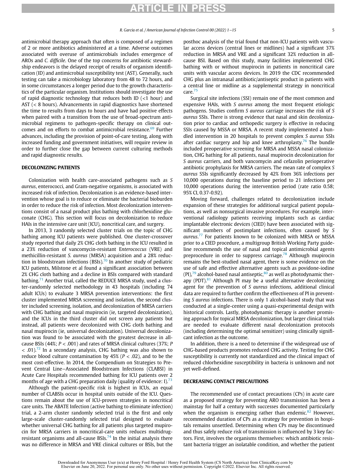antimicrobial therapy approach that often is composed of a regimen of 2 or more antibiotics administered at a time. Adverse outcomes associated with overuse of antimicrobials includes emergence of AROs and C. difficile. One of the top concerns for antibiotic stewardship endeavors is the delayed receipt of results of organism identification (ID) and antimicrobial susceptibility test (AST). Generally, such testing can take a microbiology laboratory from 48 to 72 hours, and in some circumstances a longer period due to the growth characteristics of the particular organism. Institutions should investigate the use of rapid diagnostic technology that reduces both ID  $($  < 1 hour) and AST (< 8 hours). Advancements in rapid diagnostics have shortened the time to results from days to hours and have had positive effects when paired with a transition from the use of broad-spectrum antimicrobial regimens to pathogen-specific therapy on clinical out-comes and on efforts to combat antimicrobial resistance.<sup>[69](#page-14-27)</sup> Further advances, including the provision of point-of-care testing, along with increased funding and government initiatives, will require review in order to further close the gap between current culturing methods and rapid diagnostic results.

#### DECOLONIZING PATIENTS

Colonization with health care-associated pathogens such as S aureus, enterococci, and Gram-negative organisms, is associated with increased risk of infection. Decolonization is an evidence-based intervention whose goal is to reduce or eliminate the bacterial bioburden in order to reduce the risk of infection. Most decolonization interventions consist of a nasal product plus bathing with chlorhexidine gluconate (CHG). This section will focus on decolonization to reduce HAIs in the intensive care unit (ICU), noncritical care, and surgery.

In 2013, 3 randomly selected cluster trials on the topic of CHG bathing among ICU patients were published. One cluster-crossover study reported that daily 2% CHG cloth bathing in the ICU resulted in a 23% reduction of vancomycin-resistant Enterococcus (VRE) and methicillin-resistant S. aureus (MRSA) acquisition and a 28% reduc-tion in bloodstream infections (BSIs).<sup>[70](#page-14-28)</sup> In another study of pediatric ICU patients, Milstone et al found a significant association between 2% CHG cloth bathing and a decline in BSIs compared with standard bathing.<sup>71</sup> Another trial, called the REDUCE MRSA study, used a cluster-randomly selected methodology in 43 hospitals (including 74 adult ICUs) to evaluate 3 MRSA prevention interventions: the first cluster implemented MRSA screening and isolation, the second cluster included screening, isolation, and decolonization of MRSA carriers with CHG bathing and nasal mupirocin (ie, targeted decolonization), and the ICUs in the third cluster did not screen any patients but instead, all patients were decolonized with CHG cloth bathing and nasal mupirocin (ie, universal decolonization). Universal decolonization was found to be associated with the greatest decrease in allcause BSIs (44%;  $P < .001$ ) and rates of MRSA clinical cultures (37%; P  $\sim$  .01).<sup>[72](#page-14-30)</sup> In a secondary analysis, CHG bathing was also shown to reduce blood culture contamination by  $45\%$  ( $P < .02$ ), and to be the most cost-effective. In 2014, the Compendium on Strategies to Prevent Central Line−Associated Bloodstream Infections (CLABSI) in Acute Care Hospitals recommended bathing for ICU patients over 2 months of age with a CHG preparation daily (quality of evidence:  $I$ ).<sup>[73](#page-14-31)</sup>

Although the patient-specific risk is highest in ICUs, an equal number of CLABSIs occur in hospital units outside of the ICU. Questions remain about the use of ICU-proven strategies in noncritical care units. The ABATE Infection (active bathing to eliminate infection) trial, a 2-arm cluster randomly selected trial is the first and only large-scale cluster-randomly selected trial designed to evaluate whether universal CHG bathing for all patients plus targeted mupirocin for MRSA carriers in noncritical-care units reduces multidrugresistant organisms and all-cause BSIs. $^{74}$  $^{74}$  $^{74}$  In the initial analysis there was no difference in MRSA and VRE clinical cultures or BSIs, but the posthoc analysis of the trial found that non-ICU patients with vascular access devices (central lines or midlines) had a significant 37% reduction in MRSA and VRE and a significant 32% reduction in allcause BSI. Based on this study, many facilities implemented CHG bathing with or without mupirocin in patients in noncritical care units with vascular access devices. In 2019 the CDC recommended CHG plus an intranasal antibiotic/antiseptic product in patients with a central line or midline as a supplemental strategy in noncritical care.<sup>[75](#page-14-33)</sup>

Surgical site infections (SSI) remain one of the most common and expensive HAIs, with S aureus among the most frequent etiologic pathogens. Studies confirm S aureus carriage increases the risk of S aureus SSIs. There is strong evidence that nasal and skin decolonization prior to cardiac and orthopedic surgery is effective in reducing SSIs caused by MSSA or MRSA. A recent study implemented a bundled intervention in 20 hospitals to prevent complex S aureus SSIs after cardiac surgery and hip and knee arthroplasty.<sup>[76](#page-14-34)</sup> The bundle included preoperative screening for MRSA and MSSA nasal colonization, CHG bathing for all patients, nasal mupirocin decolonization for S aureus carriers, and both vancomycin and cefazolin perioperative antibiotic prophylaxis for MRSA carriers. The mean rate of complex S aureus SSIs significantly decreased by 42% from 36% infections per 10,000 operations during the baseline period to 21 infections per 10,000 operations during the intervention period (rate ratio 0.58; 95% CI, 0.37-0.92).

Moving forward, challenges related to decolonization include expansion of these strategies for additional surgical patient populations, as well as nonsurgical invasive procedures. For example, interventional radiology patients receiving implants such as cardiac implantable electronic devices (CIED) have been associated with significant numbers of postimplant infections, often caused by S aureus.<sup>[77](#page-14-35)</sup> For patients known to be colonized with MRSA or MSSA prior to a CIED procedure, a multigroup British Working Party guideline recommends the use of nasal and topical antimicrobial agents preprocedure in order to suppress carriage.<sup>[78](#page-14-36)</sup> Although mupirocin remains the best-studied nasal agent, there is some evidence on the use of safe and effective alternative agents such as povidone-iodine (PI),<sup>[79](#page-14-37)</sup> alcohol-based nasal antiseptic, $80$  as well as photodynamic therapy (PDT). $81$  Although PI may be a useful alternative decolonizing agent for the prevention of S aureus infections, additional clinical data are required to further confirm the effectiveness of PI in preventing S aureus infections. There is only 1 alcohol-based study that was conducted at a single-center using a quasi-experimental design with historical controls. Lastly, photodynamic therapy is another promising approach for topical MRSA decolonization, but larger clinical trials are needed to evaluate different nasal decolonization protocols (including determining the optimal sensitizer) using clinically significant infection as the outcome.

In addition, there is a need to determine if the widespread use of CHG-based products promotes reduced CHG activity. Testing for CHG susceptibility is currently not standardized and the clinical impact of reduced chlorhexidine susceptibility in bacteria is unknown and not yet well-defined.

#### DECREASING CONTACT PRECAUTIONS

The recommended use of contact precautions (CPs) in acute care as a proposed strategy for preventing ARO transmission has been a mainstay for half a century with successes documented particularly when the organism is emerging rather than endemic.<sup>[82](#page-14-40)</sup> However, recommended duration of CPs as a strategy for prevention in hospitals remains unsettled. Determining when CPs may be discontinued and thus safely reduce risk of transmission is influenced by 3 key factors. First, involves the organisms themselves: which antibiotic resistant bacteria trigger an isolatable condition, and whether the patient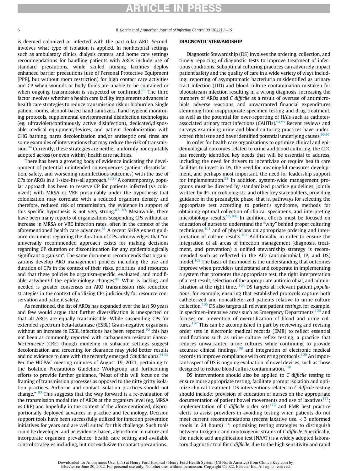6 R. Garcia et al. / American Journal of Infection Control 00 (2022) 1−15

is deemed colonized or infected with the particular ARO. Second, involves what type of isolation is applied. In nonhospital settings such as ambulatory clinics, dialysis centers, and home care settings recommendations for handling patients with AROs include use of standard precautions, while skilled nursing facilities deploy enhanced barrier precautions (use of Personal Protective Equipment [PPE], but without room restriction) for high contact care activities and CP when wounds or body fluids are unable to be contained or when ongoing transmission is suspected or confirmed. $83$  The third factor involves whether a health care facility implements advances in health care strategies to reduce transmission risk or bioburden. Single patient rooms, alcohol-based hand sanitizers, hand hygiene monitoring protocols, supplemental environmental disinfection technologies (eg, ultraviolet/continuously active disinfection), dedicated/disposable medical equipment/devices, and patient decolonization with CHG bathing, nares decolonization and/or antiseptic oral rinse are some examples of interventions that may reduce the risk of transmis-sion.<sup>[84](#page-14-42)</sup> Currently, these strategies are neither uniformly nor equitably adopted across (or even within) health care facilities.

There has been a growing body of evidence indicating the development of potential unintended consequences (patient dissatisfaction, safety, and worsening noninfectious outcomes) with the use of CPs for AROs in a 1-size-fits-all approach. $85,86$  $85,86$  $85,86$  A contemporary, popular approach has been to reserve CP for patients infected (vs colonized) with MRSA or VRE presumably under the hypothesis that colonization may correlate with a reduced organism density and therefore, reduced risk of transmission, the evidence in support of this specific hypothesis is not very strong.<sup>[87](#page-14-45)–89,</sup> Meanwhile, there have been many reports of organizations suspending CPs without an increase in MRSA or VRE infection rates, often in the context of the aforementioned health care advances.<sup>[83](#page-14-41)</sup> A recent SHEA expert guidance document regarding the duration of CPs acknowledges that "no universally recommended approach exists for making decisions regarding CP duration or discontinuation for any epidemiologically significant organism". The same document recommends that organizations develop ARO management policies including the use and duration of CPs in the context of their risks, priorities, and resources and that these policies be organism-specific, evaluated, and modifiable as/when/if the epidemiology changes. $89$  What is lacking and needed is greater consensus on ARO transmission risk reduction strategies in the context of utilizing CPs judiciously for resource conservation and patient safety.

As mentioned, the list of AROs has expanded over the last 50 years and few would argue that further diversification is unexpected or that all AROs are equally transmissible. While suspending CPs for extended spectrum beta-lactamase (ESBL) Gram-negative organisms without an increase in ESBL infections has been reported, $90$  this has not been as commonly reported with carbapenem resistant Enterobacteriaceae (CRE) though modeling in subacute settings suggest decolonization and screening for clearance may yield better results and no evidence to date with the recently emerged Candida auris.<sup>[91](#page-14-48)[,92](#page-14-49)</sup> Per the HICPAC meeting minutes of August 19, 2021, pertaining to the Isolation Precautions Guideline Workgroup and forthcoming efforts to provide further guidance, "Most of this will focus on the framing of transmission processes as opposed to the nitty gritty isolation practices. Airborne and contact isolation practices should not change."  $93$  This suggests that the way forward is a re-evaluation of the transmission modalities of AROs at the organism level (eg, MRSA vs CRE) and hopefully in the context of the aforementioned, disproportionally deployed advances in practice and technology. Decision support tools have been successfully utilized for infection prevention initiatives for years and are well suited for this challenge. Such tools could be developed and be evidence-based, algorithmic in nature and incorporate organism prevalence, health care setting and available control strategies including, but not exclusive to contact precautions.

#### DIAGNOSTIC STEWARDSHIP

Diagnostic Stewardship (DS) involves the ordering, collection, and timely reporting of diagnostic tests to improve treatment of infectious conditions. Suboptimal culturing practices can adversely impact patient safety and the quality of care in a wide variety of ways including: reporting of asymptomatic bacteriuria misidentified as urinary tract infection (UTI) and blood culture contamination mistaken for bloodstream infection resulting in a wrong diagnosis, increasing the numbers of AROs and C difficile as a result of overuse of antimicrobials, adverse reactions, and unwarranted financial expenditures stemming from inappropriate specimen testing and drug treatment, as well as the potential for over-reporting of HAIs such as catheter-associated urinary tract infections (CAUTIs).<sup>[94](#page-14-51)[,95](#page-15-0)</sup> Recent reviews and surveys examining urine and blood culturing practices have underscored this issue and have identified potential underlying causes.  $96,97$  $96,97$ 

In order for health care organizations to optimize clinical and epidemiological outcomes related to urine and blood culturing, the CDC has recently identified key needs that will be essential to address, including the need for drivers to incentivize or require health care facilities to invest in DS, the need for meaningful measures development, and perhaps most important, the need for leadership support for implementation.<sup>[98](#page-15-3)</sup> In addition, system-wide management programs must be directed by standardized practice guidelines, jointly written by IPs, microbiologists, and other key stakeholders, providing guidance in the preanalytic phase, that is, pathways for selecting the appropriate test according to patient's syndrome, methods for obtaining optimal collection of clinical specimens, and interpreting microbiology results.<sup>[99](#page-15-4)[,100](#page-15-5)</sup> In addition, efforts must be focused on education of nurses to understand the "why" behind proper culturing techniques, $101$  and of physicians on appropriate ordering and inter-pretation of culture results.<sup>[102](#page-15-7)</sup> Additionally, in order to ensure the integration of all areas of infection management (diagnosis, treatment, and prevention) a unified stewardship strategy is recommended such as reflected in the AID (antimicrobial, IP, and DS) model.<sup>[103](#page-15-8)</sup> The basis of this model is the understanding that outcomes improve when providers understand and cooperate in implementing a system that promotes the appropriate test, the right interpretation of a test result, selection of the appropriate antimicrobial, and administration at the right time.  $104$  DS targets all relevant patient populations, for example, ensuring that established protocols capture both catheterized and noncatheterized patients relative to urine culture collection.[105](#page-15-10) DS also targets all relevant patient settings, for example, in specimen-intensive areas such as Emergency Departments,<sup>[106](#page-15-11)</sup> and focuses on prevention of overutilization of blood and urine cul-tures.<sup>[107](#page-15-12)</sup> This can be accomplished in part by reviewing and revising order sets in electronic medical records (EMR) to reflect essential modifications such as urine culture reflex testing, a practice that reduces unwarranted urine cultures while continuing to provide accurate clinical findings, $108$  and integration of electronic medical records to improve compliance with ordering protocols.<sup>[109](#page-15-14)</sup> An important aspect of DS is ongoing evaluation of novel devices, such as those designed to reduce blood culture contamination.<sup>[110](#page-15-15)</sup>

DS interventions should also be applied to C difficile testing to ensure more appropriate testing, facilitate prompt isolation and optimize clinical treatment. DS interventions related to C difficile testing should include: provision of education of nurses on the appropriate documentation of patient bowel movements and use of laxatives $111$ ; implementation of C difficile order sets<sup>[112](#page-15-17)</sup> and EMR best practice alerts to assist providers in avoiding testing when patients do not meet current recommendations (recent laxative use, < 3 unformed stools in 24 hours)<sup>113</sup>; optimizing testing strategies to distinguish between toxigenic and nontoxigenic strains of C difficile. Specifically, the nucleic acid amplification test (NAAT) is a widely adopted laboratory diagnostic tool for C difficile, due to the high sensitivity and rapid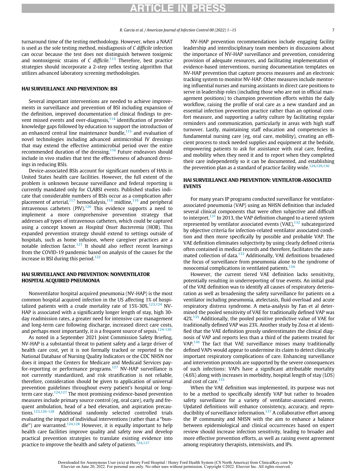turnaround time of the testing methodology. However, when a NAAT is used as the sole testing method, misdiagnosis of C difficile infection can occur because the test does not distinguish between toxigenic and nontoxigenic strains of  $C$  difficile.<sup>[113](#page-15-18)</sup> Therefore, best practice strategies should incorporate a 2-step reflex testing algorithm that utilizes advanced laboratory screening methodologies.

#### HAI SURVEILLANCE AND PREVENTION: BSI

Several important interventions are needed to achieve improvements in surveillance and prevention of BSI including expansion of the definition, improved documentation of clinical findings to pre-vent missed events and over-diagnosis,<sup>[114](#page-15-19)</sup> identification of provider knowledge gaps followed by education to support the introduction of an enhanced central line maintenance bundle, $115$  and evaluation of novel technologies including advanced antimicrobial IV dressings that may extend the effective antimicrobial period over the entire recommended duration of the dressing.<sup>[116](#page-15-21)</sup> Future endeavors should include in vivo studies that test the effectiveness of advanced dressings in reducing BSIs.

Device-associated BSIs account for significant numbers of HAIs in United States health care facilities. However, the full extent of the problem is unknown because surveillance and federal reporting is currently mandated only for CLABSI events. Published studies indicate that considerable numbers of BSIs occur as a complication after placement of arterial, $117$  hemodialysis, $118$  midline, $119$  and peripheral intravenous catheters  $(PIV)$ .<sup>120</sup> This evidence supports a need to implement a more comprehensive prevention strategy that addresses all types of intravenous catheters, which could be captured using a concept known as Hospital Onset Bacteremia (HOB). This expanded prevention strategy should extend to settings outside of hospitals, such as home infusion, where caregiver practices are a notable infection factor.<sup>[121](#page-15-26)</sup> It should also reflect recent learnings from the COVID-19 pandemic based on analysis of the causes for the increase in BSI during this period. $122$ 

#### HAI SURVEILLANCE AND PREVENTION: NONVENTILATOR HOSPITAL ACQUIRED PNEUMONIA

Nonventilator hospital acquired pneumonia (NV-HAP) is the most common hospital acquired infection in the US affecting 1% of hospitalized patients with a crude mortality rate of  $15\%$ -30%.<sup>[123,](#page-15-28)[124](#page-15-29)</sup> NV-HAP is associated with a significantly longer length of stay, high 30 day readmission rates, a greater need for intensive care management and long-term care following discharge, increased direct care costs, and perhaps most importantly, it is a frequent source of sepsis. $124-126$ 

As noted in a September 2021 Joint Commission Safety Briefing, NV-HAP is a substantial threat to patient safety and a large driver of health care cost, yet it is not formally tracked or reported to the National Database of Nursing Quality Indicators or the CDC NHSN nor does it impact the Centers for Medicare and Medicaid Services payfor-reporting or performance programs.[127](#page-15-30) NV-HAP surveillance is not currently standardized, and risk stratification is not reliable, therefore, consideration should be given to application of universal prevention guidelines throughout every patient's hospital or longterm care stay. $124,127$  $124,127$  The most promising evidence-based prevention measures include primary source control (eg, oral care), early and frequent ambulation, head of a bed elevation, and aspiration precautions.[123](#page-15-28)[,126-128](#page-15-31) Additional randomly selected controlled trials evaluating the impact of individual interventions (rather than a "bun-dle") are warranted.<sup>[124](#page-15-29)[,128](#page-15-32)</sup> However, it is equally important to help health care facilities improve quality and safety now and develop practical prevention strategies to translate existing evidence into practice to improve the health and safety of patients.<sup>[124,](#page-15-29)[127](#page-15-30)</sup>

NV-HAP prevention recommendations include engaging facility leadership and interdisciplinary team members in discussions about the importance of NV-HAP surveillance and prevention, considering provision of adequate resources, and facilitating implementation of evidence-based interventions, nursing documentation templates on NV-HAP prevention that capture process measures and an electronic tracking system to monitor NV-HAP. Other measures include mentoring influential nurses and nursing assistants in direct care positions to serve in leadership roles (including those who are not in official management positions) to champion prevention efforts within the daily workflow, raising the profile of oral care as a new standard and an essential infection prevention practice rather than an optional comfort measure, and supporting a safety culture by facilitating regular reminders and communication, particularly in areas with high staff turnover. Lastly, maintaining staff education and competencies in fundamental nursing care (eg, oral care, mobility), creating an efficient process to stock needed supplies and equipment at the bedside, empowering patients to ask for assistance with oral care, feeding, and mobility when they need it and to report when they completed their care independently so it can be documented, and establishing the prevention plan as a standard of practice facility wide.<sup>[124](#page-15-29)[,129,](#page-15-33)[130](#page-15-34)</sup>

#### HAI SURVEILLANCE AND PREVENTION: VENTILATOR-ASSOCIATED EVENTS

For many years IP programs conducted surveillance for ventilatorassociated pneumonia (VAP) using an NHSN definition that included several clinical components that were often subjective and difficult to interpret.<sup>[131](#page-15-35)</sup> In 2013, the VAP definition changed to a tiered system represented by ventilator associated events  $(VAE),<sup>132</sup>$  $(VAE),<sup>132</sup>$  $(VAE),<sup>132</sup>$  subcategorized by objective criteria for infection-related ventilator associated condition and then more specifically by possible and probable VAP. The VAE definition eliminates subjectivity by using clearly defined criteria often contained in medical records and therefore, facilitates the auto-mated collection of data.<sup>[133](#page-15-37)</sup> Additionally, VAE definitions broadened the focus of surveillance from pneumonia alone to the syndrome of nosocomial complications in ventilated patients.<sup>[134](#page-15-38)</sup>

However, the current tiered VAE definition lacks sensitivity, potentially resulting in underreporting of true events. An initial goal of the VAE definition was to identify all causes of respiratory deterioration as well as broadening the safety surveillance for patients on a ventilator including pneumonia, atelectasis, fluid overload and acute respiratory distress syndrome. A meta-analysis by Fan et al determined the pooled sensitivity of VAE for traditionally defined VAP was 42%<sup>[135](#page-15-39)</sup> Additionally, the pooled positive predictive value of VAE for traditionally defined VAP was 23%. Another study by Zosa et al identified that the VAE definition grossly underestimates the clinical diagnosis of VAP and reports less than a third of the patients treated for VAP.<sup>[136](#page-15-40)</sup> The fact that VAE surveillance misses many traditionally defined VAPs would appear to undermine its claim to detect clinically important respiratory complications of care. Enhancing surveillance and intervention protocols are supported by the severe consequences of such infections: VAPs have a significant attributable mortality (4.6%) along with increases in morbidity, hospital length of stay (LOS) and cost of care.<sup>[133](#page-15-37)</sup>

When the VAE definition was implemented, its purpose was not to be a method to specifically identify VAP but rather to broaden safety surveillance for a variety of ventilator-associated events. Updated definitions will enhance consistency, accuracy, and repro-ducibility of surveillance information.<sup>[137](#page-15-41)</sup> A collaborative effort among the IP community and NHSN with the aim to enhance a balance between epidemiological and clinical occurrences based on expert review should increase infection sensitivity, leading to broader and more effective prevention efforts, as well as raising event agreement among respiratory therapists, intensivists, and IPs.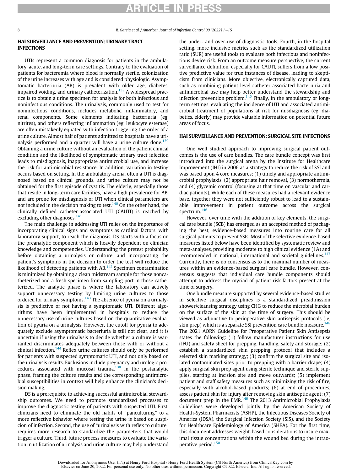8 R. Garcia et al. / American Journal of Infection Control 00 (2022) 1−15

#### HAI SURVEILLANCE AND PREVENTION: URINARY TRACT INFECTIONS

UTIs represent a common diagnosis for patients in the ambulatory, acute, and long-term care settings. Contrary to the evaluation of patients for bacteremia where blood is normally sterile, colonization of the urine increases with age and is considered physiologic. Asymptomatic bacteriuria (AB) is prevalent with older age, diabetes, impaired voiding, and urinary catheterization.<sup>[138](#page-15-42)</sup> A widespread practice is to obtain a urine specimen for analysis for both infectious and noninfectious conditions. The urinalysis, commonly used to test for noninfectious conditions, includes metabolic, inflammatory, and renal components. Some elements indicating bacteriuria (eg, nitrites), and others reflecting inflammation (eg, leukocyte esterase) are often mistakenly equated with infection triggering the order of a urine culture. Almost half of patients admitted to hospitals have a uri-nalysis performed and a quarter will have a urine culture done.<sup>[139](#page-15-43)</sup> Obtaining a urine culture without an evaluation of the patient clinical condition and the likelihood of symptomatic urinary tract infection leads to misdiagnosis, inappropriate antimicrobial use, and increase the risk for antimicrobial resistance. In addition, variation in testing occurs based on setting. In the ambulatory arena, often a UTI is diagnosed based on clinical grounds, and urine culture may not be obtained for the first episode of cystitis. The elderly, especially those that reside in long-term care facilities, have a high prevalence for AB, and are prone for misdiagnosis of UTI when clinical parameters are not included in the decision making to test.<sup>[140](#page-15-44)</sup> On the other hand, the clinically defined catheter-associated UTI (CAUTI) is reached by excluding other diagnoses.<sup>[141](#page-15-45)</sup>

The main challenge in addressing UTI relies on the importance of incorporating clinical signs and symptoms as cardinal factors, with laboratory support, to reach the diagnosis. DS starts with a focus on the preanalytic component which is heavily dependent on clinician knowledge and competencies. Understanding the pretest probability before obtaining a urinalysis or culture, and incorporating the patient's symptoms in the decision to order the test will reduce the likelihood of detecting patients with AB. $142$  Specimen contamination is minimized by obtaining a clean midstream sample for those noncatheterized and a fresh specimen from sampling port in those catheterized. The analytic phase is where the laboratory can actively support unnecessary testing by limiting urine cultures to those ordered for urinary symptoms.<sup>[143](#page-15-47)</sup> The absence of pyuria on a urinalysis is predictive of not having a symptomatic UTI. Different algorithms have been implemented in hospitals to reduce the unnecessary use of urine cultures based on the quantitative evaluation of pyuria on a urinalysis. However, the cutoff for pyuria to adequately exclude asymptomatic bacteriuria is still not clear, and it is uncertain if using the urinalysis to decide whether a culture is warranted discriminates adequately between those with or without a clinical infection.<sup>[144](#page-15-48)</sup> Reflex urine cultures should only be performed for patients with suspected symptomatic UTI, and not only based on the urinalysis results. Exclusions include pregnancy and urologic procedures associated with mucosal trauma. $138$  In the postanalytic phase, framing the culture results and the corresponding antimicrobial susceptibilities in context will help enhance the clinician's decision making.

DS is a prerequisite to achieving successful antimicrobial stewardship outcomes. We need to promote standardized processes to improve the diagnostic testing of patients with suspected UTI. First, clinicians need to eliminate the old habits of "panculturing" to a more reflective behavior where testing the urine is based on suspicion of infection. Second, the use of "urinalysis with reflex to culture" requires more research to standardize the parameters that would trigger a culture. Third, future process measures to evaluate the variation in utilization of urinalysis and urine culture may help understand the under- and over-use of diagnostic tools. Fourth, in the hospital setting, more inclusive metrics such as the standardized utilization ratio (SUR) are useful tools to evaluate both infectious and noninfectious device risk. From an outcome measure perspective, the current surveillance definition, especially for CAUTI, suffers from a low positive predictive value for true instances of disease, leading to skepticism from clinicians. More objective, electronically captured data, such as combining patient-level catheter-associated bacteriuria and antimicrobial use may help better understand the stewardship and infection prevention problem. $145$  Finally, in the ambulatory or longterm settings, evaluating the incidence of UTI and associated antimicrobial treatment of populations at risk for misdiagnosis (eg, diabetics, elderly) may provide valuable information on potential future areas of focus.

#### HAI SURVEILLANCE AND PREVENTION: SURGICAL SITE INFECTIONS

One well studied approach to improving surgical patient outcomes is the use of care bundles. The care bundle concept was first introduced into the surgical arena by the Institute for Healthcare Improvement (IHI) in 2006 as a strategy to reduce the risk of SSI and was based upon 4 core measures: (1) timely and appropriate antimicrobial prophylaxis, (2) appropriate hair removal, (3) normothermia, and (4) glycemic control (focusing at that time on vascular and cardiac patients). While each of these measures had a relevant evidence base, together they were not sufficiently robust to lead to a sustainable improvement in patient outcome across the surgical spectrum.<sup>[146](#page-15-50)</sup>

However, over time with the addition of key elements, the surgical care bundle (SCB) has emerged as an accepted method of packaging the best, evidence-based measures into routine care for all surgical patients to prevent SSIs. Most of the selective evidence-based measures listed below have been identified by systematic review and meta-analyses, providing moderate to high clinical evidence (1A) and recommended in national, international and societal guidelines.<sup>[147](#page-15-51)</sup> Currently, there is no consensus as to the maximal number of measures within an evidence-based surgical care bundle. However, consensus suggests that individual care bundle components should attempt to address the myriad of patient risk factors present at the time of surgery.

One bundle measure supported by several evidence-based studies in selective surgical disciplines is a standardized preadmission shower/cleansing strategy using CHG to reduce the microbial burden on the surface of the skin at the time of surgery. This should be viewed as adjunctive to perioperative skin antisepsis protocols (ie, skin prep) which is a separate SSI prevention care bundle measure.<sup>[148](#page-15-52)</sup> The 2021 AORN Guideline for Preoperative Patient Skin Antisepsis states the following: (1) follow manufacturer instructions for use (IFU) and safety sheet for prepping, handling, safety and storage; (2) establish a standardized skin prepping protocol that includes a selected skin marking strategy; (3) confirm the surgical site and isolated contaminated sites prior to prepping with a barrier drape; (4) apply surgical skin prep agent using sterile technique and sterile supplies, starting at incision site and move outwards; (5) implement patient and staff safety measures such as minimizing the risk of fire, especially with alcohol-based products; (6) at end of procedures, assess patient skin for injury after removing skin antiseptic agent; (7) document prep in the EMR. $149$  The 2013 Antimicrobial Prophylaxis Guidelines were developed jointly by the American Society of Health-System Pharmacists (ASHP), the Infectious Diseases Society of America (IDSA), the Surgical Infection Society (SIS), and the Society for Healthcare Epidemiology of America (SHEA). For the first time, this document addresses weight-based considerations to insure maximal tissue concentrations within the wound bed during the intraoperative period.[150](#page-15-54)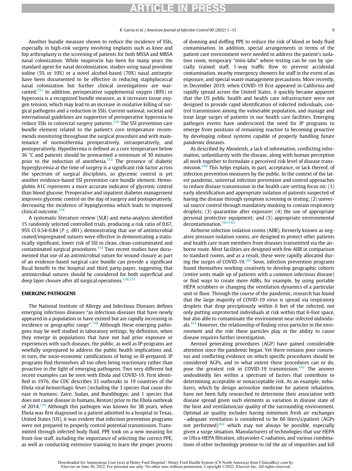Another bundle measure shown to reduce the incidence of SSIs, especially in high-risk surgery involving implants such as knee and hip arthroplasty is the screening of patients for both MSSA and MRSA nasal colonization. While mupirocin has been for many years the standard agent for nasal decolonization, studies using nasal povidone iodine (5% or 10%) or a novel alcohol-based (70%) nasal antiseptic have been documented to be effective in reducing staphylococcal nasal colonization but further clinical investigations are war-ranted.<sup>[151](#page-16-0)</sup> In addition, perioperative supplemental oxygen (80%) or hyperoxia is a recognized bundle measure, as it increases tissue oxygen tension, which may lead to an increase in oxidative killing of surgical pathogens and a reduction in SSIs. Current national, societal and international guidelines are supportive of perioperative hyperoxia to reduce SSIs in colorectal surgery patients.<sup>[152](#page-16-1)</sup> The SSI prevention care bundle element related to the patient's core temperature recommends monitoring throughout the surgical procedure and with maintenance of normothermia preoperatively, intraoperatively, and postoperatively. Hypothermia is defined as a core temperature below 36 °C and patients should be prewarmed a minimum of 30 minutes prior to the induction of anesthesia.<sup>[153](#page-16-2)</sup> The presence of diabetic hyperglycemia at the time of surgery is a significant risk factor across the spectrum of surgical disciplines, so glycemic control is yet another evidence-based SSI prevention care bundle element. Hemoglobin A1C represents a more accurate indicator of glycemic control than blood glucose. Preoperative and inpatient diabetes management improves glycemic control on the day of surgery and postoperatively, decreasing the incidence of hypoglycemia which leads to improved clinical outcome.<sup>[154](#page-16-3)</sup>

A systematic literature review (SLR) and meta-analysis identified 15 randomly selected controlled trials, producing a risk ratio of 0.67, 95% CI 0.54-0.84 ( $P \leq$  .001), demonstrating that use of antimicrobial coated/impregnated sutures were effective in demonstrating a statistically significant, lower risk of SSI in clean, clean-contaminated and contaminated surgical procedures.[155](#page-16-4) Two recent studies have documented that use of an antimicrobial suture for wound closure as part of an evidence-based surgical care bundle can provide a significant fiscal benefit to the hospital and third party-payer, suggesting that antimicrobial sutures should be considered for both superficial and deep layer closure after all surgical operations.<sup>[156](#page-16-5)[,157](#page-16-6)</sup>

#### EMERGING PATHOGENS

The National Institute of Allergy and Infectious Diseases defines emerging infectious diseases "as infectious diseases that have newly appeared in a population or have existed but are rapidly increasing in incidence or geographic range".<sup>[158](#page-16-7)</sup> Although these emerging pathogens may be well studied in laboratory settings, by definition, when they emerge in populations that have not had prior exposure or experiences with such diseases, the public, as well as IP programs are woefully unprepared to address the public health implications and, in turn, the socio-economic ramifications of being so ill-prepared. IP programs find themselves all too often being reactionary rather than proactive in the light of emerging pathogens. Two very different but recent examples can be seen with Ebola and COVID-19. First identified in 1976, the CDC describes 33 outbreaks in 19 countries of the Ebola viral hemorrhagic fever (including the 3 species that cause disease in humans: Zaire, Sudan, and Bundibugyo; and 1 species that does not cause disease in humans, Reston) prior to the Ebola outbreak of 2014.<sup>[159](#page-16-8)</sup> Although this pathogen was known for 38 years, when Ebola was first diagnosed in a patient admitted to a hospital in Texas, United States (US), it was evident that infection prevention programs were not prepared to properly control potential transmission. Transmitted through infected body fluid, PPE took on a new meaning for front-line staff, including the importance of selecting the correct PPE, as well as conducting extensive training to learn the proper process of donning and doffing PPE to reduce the risk of blood or body fluid contamination. In addition, special arrangements in terms of the patient care environment were needed to address the patient's isolation room, temporary "mini-labs" where testing can be run by specially trained staff, 1-way traffic flow to prevent accidental contamination, nearby emergency showers for staff in the event of an exposure, and special waste management precautions. More recently, in December 2019, when COVID-19 first appeared in California and rapidly spread across the United States, it quickly became apparent that the US public health and health care infrastructure were not designed to provide rapid identification of infected individuals, control transmission among the vulnerable population, and manage and treat large surges of patients in our health care facilities. Emerging pathogen events have underscored the need for IP programs to emerge from positions of remaining reactive to becoming proactive by developing robust systems capable of properly handling future pandemic diseases.

As described by Abouleish, a lack of information, conflicting information, unfamiliarity with the disease, along with human perception all work together to formulate a perceived risk level of disease trans-mission.<sup>[160](#page-16-9)</sup> This helps explain, in part, acceptance, or lack thereof, of infection prevention measures by the public. In the context of the latest pandemic, universal infection prevention and control approaches to reduce disease transmission in the health care setting focus on: (1) early identification and appropriate isolation of patients suspected of having the disease through symptom screening or testing; (2) universal source control through mandatory masking to contain respiratory droplets; (3) quarantine after exposure; (4) the use of appropriate personal protective equipment; and (5) appropriate environmental decontamination.<sup>[161](#page-16-10)[,162](#page-16-11)</sup>

Airborne infection isolation rooms (AIIR), formerly known as negative pressure isolation rooms, are designed to protect other patients and health care team members from diseases transmitted via the airborne route. Most facilities are designed with few AIIR in comparison to standard rooms, and as a result, these were rapidly allocated during the surges of COVID-19. $163$  Soon, infection prevention programs found themselves working creatively to develop geographic cohorts (entire units made up of patients with a common infectious disease) or find ways to create more AIIRs, for example, by using portable HEPA scrubbers or changing the ventilation dynamics of a particular unit or floor. Through the course of the pandemic, research has found that the large majority of COVID-19 virus is spread via respiratory droplets that drop precipitously within 6 feet of the infected, not only putting unprotected individuals at risk within that 6-foot space, but also able to contaminate the environment near infected individu-als.<sup>[161](#page-16-10)</sup> However, the relationship of finding virus particles in the environment and the role these particles play in the ability to cause disease requires further investigation.

Aerosol generating procedures (AGP) have gained considerable attention since the pandemic began. Yet there remains poor consensus and conflicting evidence on which specific procedures should be considered AGPs, and to what extent these procedures can or do, pose the greatest risk in COVID-19 transmission.<sup>[162](#page-16-11)</sup> The answer undoubtedly lies within a spectrum of factors that contribute to determining acceptable or nonacceptable risk. As an example, nebulizers, which by design aerosolize medicine for patient inhalation, have not been fully researched to determine their association with disease spread given such elements as variation in disease state of the host and ventilation/air quality of the surrounding environment. Optimal air quality includes having minimum fresh air exchanges −adequate ventilation is considered to be 60 liters/s/patient (AGPs not performed)<sup>[162](#page-16-11)</sup> which may not always be possible, especially given a surge situation. Manufacturers of technologies that use HEPA or Ultra-HEPA filtration, ultraviolet-C radiation, and various combinations of other technology promise to rid the air of impurities and kill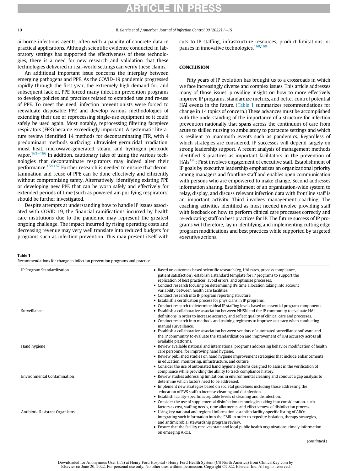### RTICLE IN PRF

airborne infectious agents, often with a paucity of concrete data in practical applications. Although scientific evidence conducted in laboratory settings has supported the effectiveness of these technologies, there is a need for new research and validation that these technologies delivered in real-world settings can verify these claims.

An additional important issue concerns the interplay between emerging pathogens and PPE. As the COVID-19 pandemic progressed rapidly through the first year, the extremely high demand for, and subsequent lack of, PPE forced many infection prevention programs to develop policies and practices related to extended use and re-use of PPE. To meet the need, infection preventionists were forced to reevaluate disposable PPE and develop various methodologies of extending their use or reprocessing single-use equipment so it could safely be used again. Most notably, reprocessing filtering facepiece respirators (FFR) became exceedingly important. A systematic literature review identified 14 methods for decontaminating FFR, with 4 predominant methods surfacing: ultraviolet germicidal irradiation, moist heat, microwave-generated steam, and hydrogen peroxide vapor.<sup>163−[166](#page-16-12)</sup> In addition, cautionary tales of using the various technologies that decontaminate respirators may indeed alter their performance.<sup>[164,](#page-16-13)[167](#page-16-14)</sup> Further research is needed to ensure that decontamination and reuse of PPE can be done effectively and efficiently without compromising safety. Alternatively, identifying existing PPE or developing new PPE that can be worn safely and effectively for extended periods of time (such as powered air-purifying respirators) should be further investigated.

Despite attempts at understanding how to handle IP issues associated with COVID-19, the financial ramifications incurred by health care institutions due to the pandemic may represent the greatest ongoing challenge. The impact incurred by rising operating costs and decreasing revenue may very well translate into reduced budgets for programs such as infection prevention. This may present itself with cuts to IP staffing, infrastructure resources, product limitations, or pauses in innovative technologies.<sup>[168](#page-16-15),[169](#page-16-16)</sup>

#### **CONCLUSION**

Fifty years of IP evolution has brought us to a crossroads in which we face increasingly diverse and complex issues. This article addresses many of those issues, providing insight on how to more effectively improve IP programs, standardize metrics, and better control potential HAI events in the future. [\(Table 1](#page-11-0) summarizes recommendations for change in 14 topics of concern.) These advances must be accomplished with the understanding of the importance of a structure for infection prevention nationally that spans across the continuum of care from acute to skilled nursing to ambulatory to postacute settings and which is resilient to mammoth events such as pandemics. Regardless of which strategies are considered, IP successes will depend largely on strong leadership support. A recent analysis of management methods identified 3 practices as important facilitators in the prevention of HAIs<sup>170</sup>: First involves engagement of executive staff. Establishment of IP goals by executive leadership emphasizes an organizational priority among managers and frontline staff and enables open communication with persons who are empowered to make change. Second addresses information sharing. Establishment of an organization-wide system to relay, display, and discuss relevant infection data with frontline staff is an important activity. Third involves management coaching. The coaching activities identified as most needed involve providing staff with feedback on how to perform clinical care processes correctly and re-educating staff on best practices for IP. The future success of IP programs will therefore, lay in identifying and implementing cutting edge program modifications and best practices while supported by targeted executive actions.

#### <span id="page-11-0"></span>Table 1

Recommendations for change in infection prevention programs and practice

| IP Program Standardization                          | • Based on outcomes based scientific research (eg, HAI rates, process compliance,<br>patient satisfaction), establish a standard template for IP programs to support the<br>replication of best practices, avoid errors, and optimize processes.                                                                                                                                                                                                                                                                                                                                                                                                                    |
|-----------------------------------------------------|---------------------------------------------------------------------------------------------------------------------------------------------------------------------------------------------------------------------------------------------------------------------------------------------------------------------------------------------------------------------------------------------------------------------------------------------------------------------------------------------------------------------------------------------------------------------------------------------------------------------------------------------------------------------|
|                                                     | • Conduct research focusing on determining IPs time allocation taking into account<br>variability between health care facilities.<br>• Conduct research into IP program reporting structure.<br>• Establish a certification process for physicians in IP programs.                                                                                                                                                                                                                                                                                                                                                                                                  |
| Surveillance<br>manual surveillance.                | • Conduct research to determine ideal IP staffing levels based on essential program components.<br>• Establish a collaborative association between NHSN and the IP community to evaluate HAI<br>definitions in order to increase accuracy and reflect quality of clinical care and processes.<br>• Conduct research into methods and training regimens to improve accuracy when conducting<br>• Establish a collaborative association between vendors of automated surveillance software and<br>the IP community to evaluate the standardization and improvement of HAI accuracy across all                                                                         |
| available platforms.<br>Hand hygiene                | • Review available national and international programs addressing behavior modification of health<br>care personnel for improving hand hygiene.<br>• Review published studies on hand hygiene improvement strategies that include enhancements<br>in education, monitoring, infrastructure, and culture.<br>• Consider the use of automated hand hygiene systems designed to assist in the verification of                                                                                                                                                                                                                                                          |
| <b>Environmental Contamination</b>                  | compliance while providing the ability to track compliance history.<br>• Review studies addressing limitations in environmental cleaning and conduct a gap analysis to<br>determine which factors need to be addressed.<br>• Implement new strategies based on societal guidelines including those addressing the<br>education of EVS staff to increase cleaning and disinfection.<br>• Establish facility-specific acceptable levels of cleaning and disinfection.<br>• Consider the use of supplemental disinfection technologies taking into consideration. such<br>factors as cost, staffing needs, time allotments, and effectiveness of disinfection process. |
| Antibiotic Resistant Organisms<br>on emerging AROs. | • Using key national and regional information, establish facility-specific listing of AROs<br>integrating such information into the EMR in order to expedite isolation, therapy strategies,<br>and antimicrobial stewardship program review.<br>• Ensure that the facility receives state and local public health organizations' timely information<br>(continued)                                                                                                                                                                                                                                                                                                  |

(continued)

Downloaded for Anonymous User (n/a) at Henry Ford Hospital / Henry Ford Health System (CS North America) from ClinicalKey.com by Elsevier on June 20, 2022. For personal use only. No other uses without permission. Copyright ©2022. Elsevier Inc. All rights reserved.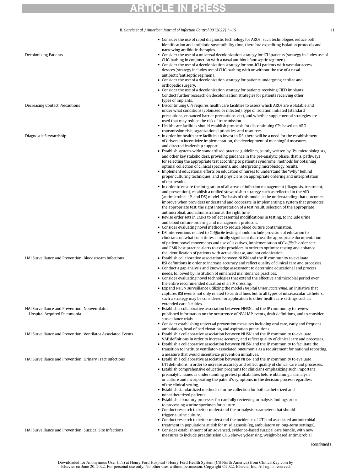R. Garcia et al. / American Journal of Infection Control 00 (2022) 1−15 11

narrowing antibiotic therapies.

Consider the use of rapid diagnostic technology for AROs; such technologies reduce both identification and antibiotic susceptibility time, therefore expediting isolation protocols and

| <b>Decolonizing Patients</b>                                  | • Consider the use of a universal decolonization strategy for ICU patients (strategy includes use of<br>CHG bathing in conjunction with a nasal antibiotic/antiseptic regimen).                            |
|---------------------------------------------------------------|------------------------------------------------------------------------------------------------------------------------------------------------------------------------------------------------------------|
|                                                               | • Consider the use of a decolonization strategy for non-ICU patients with vascular access<br>devices (strategy includes use of CHG bathing with or without the use of a nasal                              |
|                                                               | antibiotic/antiseptic regimen).                                                                                                                                                                            |
|                                                               | • Consider the use of a decolonization strategy for patients undergoing cardiac and<br>orthopedic surgery.                                                                                                 |
|                                                               | • Consider the use of a decolonization strategy for patients receiving CIED implants;                                                                                                                      |
|                                                               | Conduct further research on decolonization strategies for patients receiving other<br>types of implants.                                                                                                   |
| Decreasing Contact Precautions                                | • Discontinuing CPs requires health care facilities to assess which AROs are isolatable and                                                                                                                |
|                                                               | under what conditions (colonized or infected), type of isolation initiated (standard<br>precautions, enhanced barrier precautions, etc), and whether supplemental strategies are                           |
|                                                               | used that may reduce the risk of transmission.                                                                                                                                                             |
|                                                               | • Health care facilities should establish protocols for discontinuing CPs based on ARO<br>transmission risk, organizational priorities, and resources.                                                     |
| Diagnostic Stewardship                                        | • In order for health care facilities to invest in DS, there will be a need for the establishment<br>of drivers to incentivize implementation, the development of meaningful measures,                     |
|                                                               | and directed leadership support.<br>• Establish system-wide standardized practice guidelines, jointly written by IPs, microbiologists,                                                                     |
|                                                               | and other key stakeholders, providing guidance in the pre-analytic phase, that is, pathways                                                                                                                |
|                                                               | for selecting the appropriate test according to patient's syndrome, methods for obtaining<br>optimal collection of clinical specimens, and interpreting microbiology results.                              |
|                                                               | • Implement educational efforts on education of nurses to understand the "why" behind                                                                                                                      |
|                                                               | proper culturing techniques, and of physicians on appropriate ordering and interpretation<br>of test results.                                                                                              |
|                                                               | • In order to ensure the integration of all areas of infection management (diagnosis, treatment,                                                                                                           |
|                                                               | and prevention), establish a unified stewardship strategy such as reflected in the AID<br>(antimicrobial, IP, and DS) model. The basis of this model is the understanding that outcomes                    |
|                                                               | improve when providers understand and cooperate in implementing a system that promotes                                                                                                                     |
|                                                               | the appropriate test, the right interpretation of a test result, selection of the appropriate<br>antimicrobial, and administration at the right time.                                                      |
|                                                               | • Revise order sets in EMRs to reflect essential modifications in testing, to include urine                                                                                                                |
|                                                               | and blood culture ordering and management protocols.<br>• Consider evaluating novel methods to reduce blood culture contamination.                                                                         |
|                                                               | • DS interventions related to C difficile testing should include provision of education to                                                                                                                 |
|                                                               | clinicians on what constitutes clinically significant diarrhea, the appropriate documentation                                                                                                              |
|                                                               | of patient bowel movements and use of laxatives, implementation of C difficile order sets<br>and EMR best practice alerts to assist providers in order to optimize testing and enhance                     |
|                                                               | the identification of patients with active disease, and not colonization.                                                                                                                                  |
| HAI Surveillance and Prevention: Bloodstream Infections       | • Establish collaborative association between NHSN and the IP community to evaluate<br>BSI definitions in order to increase accuracy and reflect quality of clinical care and processes.                   |
|                                                               | • Conduct a gap analysis and knowledge assessment to determine educational and process                                                                                                                     |
|                                                               | needs, followed by institution of enhanced maintenance practices.<br>• Consider evaluating novel technologies that extend the effective antimicrobial period over                                          |
|                                                               | the entire recommended duration of an IV dressing.                                                                                                                                                         |
|                                                               | • Expand NHSN surveillance utilizing the model <i>Hospital Onset Bacteremia</i> , an initiative that<br>captures BSI events not only related to central lines but to all types of intravascular catheters; |
|                                                               | such a strategy may be considered for application to other health care settings such as                                                                                                                    |
| HAI Surveillance and Prevention: Nonventilator                | extended care facilities.<br>Establish a collaborative association between NHSN and the IP community to review                                                                                             |
| Hospital Acquired Pneumonia                                   | published information on the occurrence of NV-HAP events, draft definitions, and to consider                                                                                                               |
|                                                               | surveillance trials.<br>• Consider establishing universal prevention measures including oral care, early and frequent                                                                                      |
|                                                               | ambulation, head of bed elevation, and aspiration precautions.                                                                                                                                             |
| HAI Surveillance and Prevention: Ventilator Associated Events | • Establish a collaborative association between NHSN and the IP community to evaluate<br>VAE definitions in order to increase accuracy and reflect quality of clinical care and processes.                 |
|                                                               | • Establish a collaborative association between NHSN and the IP community to facilitate the                                                                                                                |
|                                                               | transition to institute ventilator-associated pneumonia as a requirement for national reporting,<br>a measure that would incentivize prevention initiatives.                                               |
| HAI Surveillance and Prevention: Urinary Tract Infections     | • Establish a collaborative association between NHSN and the IP community to evaluate                                                                                                                      |
|                                                               | UTI definitions in order to increase accuracy and reflect quality of clinical care and processes.<br>• Establish comprehensive education programs for clinicians emphasizing such important                |
|                                                               | preanalytic issues as understanding pretest probabilities before obtaining a urinalysis                                                                                                                    |
|                                                               | or culture and incorporating the patient's symptoms in the decision process regardless<br>of the clinical setting.                                                                                         |
|                                                               | • Establish standardized methods of urine collection for both catheterized and                                                                                                                             |
|                                                               | noncatheterized patients.<br>• Establish laboratory processes for carefully reviewing urinalysis findings prior                                                                                            |
|                                                               | to processing a urine specimen for culture.                                                                                                                                                                |
|                                                               | • Conduct research to better understand the urinalysis parameters that should                                                                                                                              |
|                                                               | trigger a urine culture.<br>• Conduct research to better understand the incidence of UTI and associated antimicrobial                                                                                      |
|                                                               | treatment in populations at risk for misdiagnosis (eg, ambulatory or long-term settings).                                                                                                                  |
| HAI Surveillance and Prevention: Surgical Site Infections     | • Consider establishment of an advanced, evidence-based surgical care bundle, with new<br>measures to include preadmission CHG shower/cleansing, weight-based antimicrobial                                |

(continued)

Downloaded for Anonymous User (n/a) at Henry Ford Hospital / Henry Ford Health System (CS North America) from ClinicalKey.com by<br>Elsevier on June 20, 2022. For personal use only. No other uses without permission. Copyright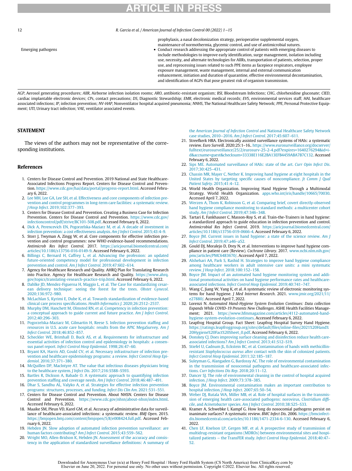12 R. Garcia et al. / American Journal of Infection Control 00 (2022) 1−15

prophylaxis, a nasal decolonization strategy, perioperative supplemental oxygen, maintenance of normothermia, glycemic control, and use of antimicrobial sutures.

Emerging pathogens Conduct research addressing the appropriate control of patients with emerging diseases to include methodologies to improve early identification, surge management, isolation including use, necessity, and alternate technologies for AIIRs, transportation of patients, selection, proper use, and reprocessing issues related to such PPE items as facepiece respirators, employee exposure management, waste management, internal and external communication enhancement, initiation and duration of quarantine, effective environmental decontamination, and identification of AGPs that pose greatest risk of organism transmission.

AGP, Aerosol generating procedures; AIIR, Airborne infection isolation rooms; ARO, antibiotic-resistant organism; BSI, Bloodstream Infections; CHG, chlorhexidine gluconate; CIED, cardiac implantable electronic devices; CPs, contact precautions; DS, Diagnostic Stewardship; EMR, electronic medical records; EVS, environmental services staff; HAI, healthcare associated infections; IP, infection prevention; NV-HAP, Nonventilator hospital acquired pneumonia; NNHS, The National Healthcare Safety Network; PPE, Personal Protective Equipment; UTI, Urinary tract infection; VAE, ventilator associated events.

#### STATEMENT

<span id="page-13-18"></span>The views of the authors may not be representative of the corresponding institutions.

#### <span id="page-13-20"></span><span id="page-13-19"></span><span id="page-13-0"></span>References

- <span id="page-13-21"></span>1. Centers for Disease Control and Prevention. 2019 National and State Healthcare-Associated Infections Progress Report. Centers for Disease Control and Prevention. <https://www.cdc.gov/hai/data/portal/progress-report.html>. Accessed February 6, 2022.
- <span id="page-13-22"></span><span id="page-13-1"></span>2. [Lee MH, Lee GA, Lee SH, et al. Effectiveness and core components of infection pre](http://refhub.elsevier.com/S0196-6553(22)00357-1/sbref0002)[vention and control programmes in long-term care facilities: a systematic review.](http://refhub.elsevier.com/S0196-6553(22)00357-1/sbref0002) J Hosp Infect[. 2019;102:377](http://refhub.elsevier.com/S0196-6553(22)00357-1/sbref0002)–393.
- <span id="page-13-23"></span><span id="page-13-2"></span>3. Centers for Disease Control and Prevention. Creating a Business Case for Infection Prevention. Centers for Disease Control and Prevention. [https://www.cdc.gov/](https://www.cdc.gov/infectioncontrol/pdf/strive/BC101-508.pdf) [infectioncontrol/pdf/strive/BC101-508.pdf.](https://www.cdc.gov/infectioncontrol/pdf/strive/BC101-508.pdf) Accessed February 6, 2022.
- <span id="page-13-3"></span>4. [Dick A, Perencevich EN, Pogorzelska-Maziarz M, et al. A decade of investment in](http://refhub.elsevier.com/S0196-6553(22)00357-1/sbref0004) [infection prevention: a cost effectiveness analysis.](http://refhub.elsevier.com/S0196-6553(22)00357-1/sbref0004) Am J Infect Control. 2015;43:4–9.
- <span id="page-13-24"></span><span id="page-13-4"></span>5. Storr J, Twyman A, Zingg W, et al. Core components for effective infection prevention and control programmes: new WHO evidence-based recommendations. Antimicrob Res Infect Control. 2017. [https://aricjournal.biomedcentral.com/](https://aricjournal.biomedcentral.com/articles/10.1186/s13756-016-0149-9) [articles/10.1186/s13756-016-0149-9](https://aricjournal.biomedcentral.com/articles/10.1186/s13756-016-0149-9). Accessed February 6, 2022.
- <span id="page-13-5"></span>6. [Billings C, Bernard H, Caffrey L, et al. Advancing the profession: an updated](http://refhub.elsevier.com/S0196-6553(22)00357-1/sbref0006) [future-oriented competency model for professional development in infection](http://refhub.elsevier.com/S0196-6553(22)00357-1/sbref0006) [prevention and control.](http://refhub.elsevier.com/S0196-6553(22)00357-1/sbref0006) Am J Infect Control. 2019;47:602–614.
- <span id="page-13-25"></span><span id="page-13-6"></span>7. Agency for Healthcare Research and Quality. AHRQ Plan for Translating Research into Practice. Agency for Healthcare Research and Quality. [https://www.ahrq.](https://www.ahrq.gov/topics/translating-research-practice-trip.html) [gov/topics/translating-research-practice-trip.html.](https://www.ahrq.gov/topics/translating-research-practice-trip.html) Accessed February 6, 2022.
- <span id="page-13-26"></span><span id="page-13-7"></span>8. [Dahlke JD, Mendez-Figueroa H, Maggio L, et al. The Case for standardizing cesar](http://refhub.elsevier.com/S0196-6553(22)00357-1/sbref0008)[ean delivery technique: seeing the forest for the trees.](http://refhub.elsevier.com/S0196-6553(22)00357-1/sbref0008) Obstet Gynecol. [2020;136:972](http://refhub.elsevier.com/S0196-6553(22)00357-1/sbref0008)–980.
- 9. [McLachlan S, Kyrimi E, Dube K, et al. Towards standardization of evidence-based](http://refhub.elsevier.com/S0196-6553(22)00357-1/sbref0009) [clinical care process speci](http://refhub.elsevier.com/S0196-6553(22)00357-1/sbref0009)fications. Health Informatics J. 2020;26:2512–2537.
- <span id="page-13-27"></span>10. [Murphy DM, Hanchett M, Olmsted RN, et al. Competency in infection prevention:](http://refhub.elsevier.com/S0196-6553(22)00357-1/sbref0010) [a conceptual approach to guide current and future practice.](http://refhub.elsevier.com/S0196-6553(22)00357-1/sbref0010) Am J Infect Control. [2012;40:296](http://refhub.elsevier.com/S0196-6553(22)00357-1/sbref0010)–303.
- <span id="page-13-28"></span><span id="page-13-8"></span>11. [Pogorzelska-Maziarz M, Gilmartin H, Reese S. Infection prevention staf](http://refhub.elsevier.com/S0196-6553(22)00357-1/sbref0011)fing and [resources in U.S. acute care hospitals: results from the APIC MegaSurvey.](http://refhub.elsevier.com/S0196-6553(22)00357-1/sbref0011) Am J Infect Control[. 2018;46:852](http://refhub.elsevier.com/S0196-6553(22)00357-1/sbref0011)–857.
- <span id="page-13-29"></span><span id="page-13-9"></span>12. [Scheckler WE, Brimhall D, Buck AS, et al. Requirements for infrastructure and](http://refhub.elsevier.com/S0196-6553(22)00357-1/sbref0012) [essential activities of infection control and epidemiology in hospitals: a consen](http://refhub.elsevier.com/S0196-6553(22)00357-1/sbref0012)sus panel report. [Infect Control Hosp Epidemiol](http://refhub.elsevier.com/S0196-6553(22)00357-1/sbref0012). 1998;26:47–60.
- <span id="page-13-30"></span><span id="page-13-10"></span>13. [Bryant KA, Harris AD, Gould CV, et al. Necessary infrastructure of infection pre](http://refhub.elsevier.com/S0196-6553(22)00357-1/sbref0013)[vention and healthcare epidemiology programs: a review.](http://refhub.elsevier.com/S0196-6553(22)00357-1/sbref0013) Infect Control Hosp Epidemiol[. 2016;37:371](http://refhub.elsevier.com/S0196-6553(22)00357-1/sbref0013)–380.
- <span id="page-13-31"></span><span id="page-13-11"></span>14. [McQuillen DP, MacIntyre AT. The value that infectious diseases physicians bring](http://refhub.elsevier.com/S0196-6553(22)00357-1/sbref0014) [to the healthcare system.](http://refhub.elsevier.com/S0196-6553(22)00357-1/sbref0014) J Infect Dis. 2017;216:S588–S593.
- <span id="page-13-32"></span><span id="page-13-12"></span>15. [Bartles R, Dickson A, Babade O. A systematic approach to quantifying infection](http://refhub.elsevier.com/S0196-6553(22)00357-1/sbref0015) prevention staffi[ng and coverage needs.](http://refhub.elsevier.com/S0196-6553(22)00357-1/sbref0015) Am J Infect Control. 2018;46:487–491.
- <span id="page-13-13"></span>16. [Dhar S, Sandhu AL, Valyko A, et al. Strategies for effective infection prevention](http://refhub.elsevier.com/S0196-6553(22)00357-1/sbref0016) [programs: structures, processes, and funding.](http://refhub.elsevier.com/S0196-6553(22)00357-1/sbref0016) Infect Dis Clin Am. 2021:531–551.
- <span id="page-13-14"></span>17. Centers for Disease Control and Prevention. About NHSN. Centers for Disease Control and Prevention. [https://www.cdc.gov/nhsn/about-nhsn/index.html.](https://www.cdc.gov/nhsn/about-nhsn/index.html) Accessed February 6, 2022.
- <span id="page-13-33"></span><span id="page-13-15"></span>18. Maaike SM, Pleun VD, Karel GM, et al. Accuracy of administrative data for surveillance of healthcare-associated infections: a systematic review. BMJ Open. 2015. [https://bmjopen.bmj.com/content/bmjopen/5/8/e008424.full.pdf.](https://bmjopen.bmj.com/content/bmjopen/5/8/e008424.full.pdf) Accessed February 6, 2022.
- <span id="page-13-34"></span><span id="page-13-16"></span>19. [Hebden JN. Slow adoption of automated infection prevention surveillance: are](http://refhub.elsevier.com/S0196-6553(22)00357-1/sbref0019) [human factors contributing?](http://refhub.elsevier.com/S0196-6553(22)00357-1/sbref0019) Am J Infect Control. 2015;43:559–562.
- <span id="page-13-17"></span>20. [Wright MO, Allen-Bridson K, Hebden JN. Assessment of the accuracy and consis](http://refhub.elsevier.com/S0196-6553(22)00357-1/sbref0020)[tency in the application of standardized surveillance de](http://refhub.elsevier.com/S0196-6553(22)00357-1/sbref0020)finitions: A summary of

the American Journal of Infection Control [and National Healthcare Safety Network](http://refhub.elsevier.com/S0196-6553(22)00357-1/sbref0020) case studies, 2010−2016. [Am J Infect Control](http://refhub.elsevier.com/S0196-6553(22)00357-1/sbref0020). 2017;45:607–611.

- 21. Streefkerk HRA. Electronically assisted surveillance systems of HAIs: a systematic review. Euro Surveill. 2020;25:1–16.. [https://www.eurosurveillance.org/docserver/](https://www.eurosurveillance.org/docserver/fulltext/eurosurveillance/25/2/eurosurv-25-2-4.pdf?expires=1640276294&id=id&accname=guest&checksum=33338E116E2BA13EFB4459ABA7B7C132) [fulltext/eurosurveillance/25/2/eurosurv-25-2-4.pdf?expires=1640276294&id=i](https://www.eurosurveillance.org/docserver/fulltext/eurosurveillance/25/2/eurosurv-25-2-4.pdf?expires=1640276294&id=id&accname=guest&checksum=33338E116E2BA13EFB4459ABA7B7C132)[d&accname=guest&checksum=33338E116E2BA13EFB4459ABA7B7C132.](https://www.eurosurveillance.org/docserver/fulltext/eurosurveillance/25/2/eurosurv-25-2-4.pdf?expires=1640276294&id=id&accname=guest&checksum=33338E116E2BA13EFB4459ABA7B7C132) Accessed February 6, 2022.
- 22. [Sips ME. Automated surveillance of HAIs: state of the art.](http://refhub.elsevier.com/S0196-6553(22)00357-1/sbref0022) Curr Opin Infect Dis. [2017;30:425](http://refhub.elsevier.com/S0196-6553(22)00357-1/sbref0022)–431.
- 23. [Chassin MR, Mayer C, Nether K. Improving hand hygiene at eight hospitals in the](http://refhub.elsevier.com/S0196-6553(22)00357-1/sbref0023) [United States by targeting speci](http://refhub.elsevier.com/S0196-6553(22)00357-1/sbref0023)fic causes of noncompliance. Jt Comm J Qual [Patient Safety](http://refhub.elsevier.com/S0196-6553(22)00357-1/sbref0023). 2015;41:4–12.
- 24. World Health Organization. Improving Hand Hygiene Through a Multimodal Strategy. World Health Organization. [apps.who.int/iris/handle/10665/70030.](https://apps.who.int/iris/handle/10665/70030) Accessed April 7, 2022.
- 25. [Werzen A, Thom K, Robinson G, et al. Comparing brief, covert directly-observed](http://refhub.elsevier.com/S0196-6553(22)00357-1/sbref0025) [hand hygiene compliance monitoring to standard methods: a multicenter cohort](http://refhub.elsevier.com/S0196-6553(22)00357-1/sbref0025) study. [Am J Infect Control](http://refhub.elsevier.com/S0196-6553(22)00357-1/sbref0025). 2019;47:346–348.
- 26. Tartari E, Fankhauser C, Masson-Roy S, et al. Train-the-Trainers in hand hygiene: a standardized approach to guide education in infection prevention and control. Antimicrobial Res Infect Control. 2019. [https://aricjournal.biomedcentral.com/](https://aricjournal.biomedcentral.com/articles/10.1186/s13756-019-0666-4) [articles/10.1186/s13756-019-0666-4](https://aricjournal.biomedcentral.com/articles/10.1186/s13756-019-0666-4). Accessed February 6, 2022.
- 27. [Boyce JM. Current issues in hand hygiene: a state of the science review.](http://refhub.elsevier.com/S0196-6553(22)00357-1/sbref0027) Am J Infect Control[. 2019;47:a46](http://refhub.elsevier.com/S0196-6553(22)00357-1/sbref0027)–a52.
- 28. Gould DJ, Moralejo D, Drey N, et al. Interventions to improve hand hygiene compliance in patient care (Review). Cochrane Library. 2017. [www.ncbi.nlm.nih.gov/](http://www.ncbi.nlm.nih.gov/pmc/articles/PMC6483670/) [pmc/articles/PMC6483670/.](http://www.ncbi.nlm.nih.gov/pmc/articles/PMC6483670/) Accessed April 7, 2022.
- 29. [Alshehari AA, Park S, Rashid H. Strategies to improve hand hygiene compliance](http://refhub.elsevier.com/S0196-6553(22)00357-1/sbref0029) [among healthcare workers in adult intensive care units: a mini systematic](http://refhub.elsevier.com/S0196-6553(22)00357-1/sbref0029) review. J Hosp Infect[. 2018;100:152](http://refhub.elsevier.com/S0196-6553(22)00357-1/sbref0029)–158.
- 30. [Boyce JM. Impact of an automated hand hygiene monitoring system and addi](http://refhub.elsevier.com/S0196-6553(22)00357-1/sbref0030)[tional promotional activities on hand hygiene performance rates and healthcare](http://refhub.elsevier.com/S0196-6553(22)00357-1/sbref0030)associated infections. [Infect Control Hosp Epidemiol](http://refhub.elsevier.com/S0196-6553(22)00357-1/sbref0030). 2019;40:741–747.
- 31. Wang C, Jiang W, Yang K, et al. A systematic review of electronic monitoring systems for hand hygiene. J Med Internet Research. 2021. [www.jmir.org/2021/11/](http://www.jmir.org/2021/11/e27880/) [e27880/](http://www.jmir.org/2021/11/e27880/). Accessed April 7, 2022.
- 32. Lorenzi N. Automated Hand-Hygiene System Evolution Continues: Data collection Expands While COVID-19 Presents New Challenges. ASHE Health Facilities Management; 2021. [https://www.hfmmagazine.com/articles/4112-automated-hand](https://www.hfmmagazine.com/articles/4112-automated-hand-hygiene-system-evolution-continues)[hygiene-system-evolution-continues.](https://www.hfmmagazine.com/articles/4112-automated-hand-hygiene-system-evolution-continues) Accessed February 6, 2022.
- 33. Leapfrog Hospital Group. Fact Sheet: Leapfrog Hospital Survey Hand Hygiene. [https://ratings.leapfroggroup.org/sites/default/](https://ratings.leapfroggroup.org/sites/default/files/inline-files/2021%20Hand%20Hygiene%20Fact%20Sheet_0.pdf)files/inline-files/2021%20Hand% [20Hygiene%20Fact%20Sheet\\_0.pdf.](https://ratings.leapfroggroup.org/sites/default/files/inline-files/2021%20Hand%20Hygiene%20Fact%20Sheet_0.pdf) Accessed February 6, 2022.
- 34. [Donskey CJ. Does improving surface cleaning and disinfection reduce health care](http://refhub.elsevier.com/S0196-6553(22)00357-1/sbref0034)[associated infections?](http://refhub.elsevier.com/S0196-6553(22)00357-1/sbref0034) Am J Infect Control. 2013;41:S12–S19.
- 35. [Stiefel U, Cadnum JL, Eckstein BC, et al. Contamination of hands with methicillin](http://refhub.elsevier.com/S0196-6553(22)00357-1/sbref0035)resistant Staphylococcus aureus [after contact with the skin of colonized patients.](http://refhub.elsevier.com/S0196-6553(22)00357-1/sbref0035) [Infect Control Hosp Epidemiol](http://refhub.elsevier.com/S0196-6553(22)00357-1/sbref0035). 2011;32:185–187.
- 36. [Suleyman G, Alangaden G, Bardossy AC. The role of environmental contamination](http://refhub.elsevier.com/S0196-6553(22)00357-1/sbref0036) [in the transmission of nosocomial pathogens and healthcare-associated infec](http://refhub.elsevier.com/S0196-6553(22)00357-1/sbref0036)tions. [Curr Infections Dis Rep](http://refhub.elsevier.com/S0196-6553(22)00357-1/sbref0036). 2018;20:11–12.
- 37. [Dancer SJ. The role of environmental cleaning in the control of hospital acquired](http://refhub.elsevier.com/S0196-6553(22)00357-1/sbref0037) infection. J Hosp Infect[. 2009;73:378](http://refhub.elsevier.com/S0196-6553(22)00357-1/sbref0037)–385.
- 38. [Boyce JM. Environmental contamination makes an important contribution to](http://refhub.elsevier.com/S0196-6553(22)00357-1/sbref0038) [hospital infection.](http://refhub.elsevier.com/S0196-6553(22)00357-1/sbref0038) J Hosp Infect. 2007;65:50–54.
- 39. [Weber DJ, Rutala WA, Miller MB, et al. Role of hospital surfaces in the transmis](http://refhub.elsevier.com/S0196-6553(22)00357-1/sbref0039)[sion of emerging health care-associated pathogens: norovirus,](http://refhub.elsevier.com/S0196-6553(22)00357-1/sbref0039) Clostridium difficile, and Acinetobacter species. [Am J Infect Control](http://refhub.elsevier.com/S0196-6553(22)00357-1/sbref0039). 2010;38:S25–S33.
- 40. Kramer A, Schwebke I, Kampf G. How long do nosocomial pathogens persist on inanimate surfaces? A systematic review. BMC Infect Dis. 2006. [https://bmcinfect](https://bmcinfectdis.biomedcentral.com/articles/10.1186/1471-2334-6-130)[dis.biomedcentral.com/articles/10.1186/1471-2334-6-130](https://bmcinfectdis.biomedcentral.com/articles/10.1186/1471-2334-6-130). Accessed February 6, 2022.
- 41. [Chen LF, Knelson LP, Gergen MF, et al. A prospective study of transmission of](http://refhub.elsevier.com/S0196-6553(22)00357-1/sbref0041) [multidrug-resistant organisms \(MDROs\) between environmental sites and hospi](http://refhub.elsevier.com/S0196-6553(22)00357-1/sbref0041)talized patients − the TransFER study. [Infect Control Hosp Epidemiol](http://refhub.elsevier.com/S0196-6553(22)00357-1/sbref0041). 2018;40:47– [52.](http://refhub.elsevier.com/S0196-6553(22)00357-1/sbref0041)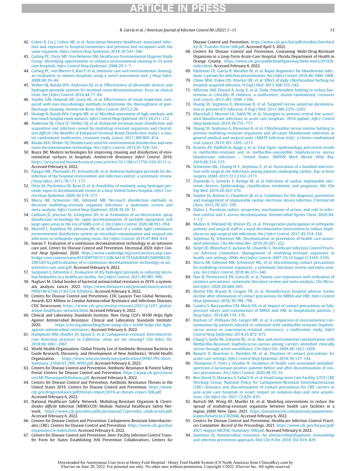#### R. Garcia et al. / American Journal of Infection Control 00 (2022) 1−15 13

- <span id="page-14-0"></span>42. [Cohen B, Liu J, Cohen AR, et al. Association between healthcare-associated infec](http://refhub.elsevier.com/S0196-6553(22)00357-1/sbref0042)[tion and exposure to hospital roommates and previous bed occupants with the](http://refhub.elsevier.com/S0196-6553(22)00357-1/sbref0042) same organism. [Infect Control Hosp Epidemiol](http://refhub.elsevier.com/S0196-6553(22)00357-1/sbref0042). 2018;39:541–546.
- <span id="page-14-26"></span><span id="page-14-1"></span>43. [Carling PC, Parry MF, Von Beheren SM. Healthcare Environmental Hygiene Study](http://refhub.elsevier.com/S0196-6553(22)00357-1/sbref0043) [Group. Identifying opportunities to enhance environmental cleaning in 23 acute](http://refhub.elsevier.com/S0196-6553(22)00357-1/sbref0043) care hospitals. [Infect Control Hosp Epidemiol](http://refhub.elsevier.com/S0196-6553(22)00357-1/sbref0043). 2008;29:1–7.
- <span id="page-14-27"></span><span id="page-14-2"></span>44. [Carling PC, von Bheren S, Kim P, et al. Intensive care unit environmental cleaning:](http://refhub.elsevier.com/S0196-6553(22)00357-1/sbref0044) [an evaluation in sixteen hospitals using a novel assessment tool.](http://refhub.elsevier.com/S0196-6553(22)00357-1/sbref0044) J Hosp Infect. [2008;68:39](http://refhub.elsevier.com/S0196-6553(22)00357-1/sbref0044)–44.
- <span id="page-14-29"></span><span id="page-14-28"></span><span id="page-14-3"></span>45. [Weber DJ, Rutala WA, Anderson DJ, et al. Effectiveness of ultraviolet devices and](http://refhub.elsevier.com/S0196-6553(22)00357-1/sbref0045) [hydrogen peroxide systems for terminal room decontamination: focus on clinical](http://refhub.elsevier.com/S0196-6553(22)00357-1/sbref0045) trials. [Am J Infect Control](http://refhub.elsevier.com/S0196-6553(22)00357-1/sbref0045). 2016;44:77–84.
- <span id="page-14-30"></span><span id="page-14-4"></span>46. [Snyder GM, Holyoak AD, Leary KE, et al. Effectiveness of visual inspection com](http://refhub.elsevier.com/S0196-6553(22)00357-1/sbref0046)[pared with non-microbiologic methods to determine the thoroughness of post](http://refhub.elsevier.com/S0196-6553(22)00357-1/sbref0046)discharge cleaning. [Antimicrob Resist Infect Control](http://refhub.elsevier.com/S0196-6553(22)00357-1/sbref0046). 2013;2:26.
- <span id="page-14-31"></span><span id="page-14-5"></span>47. [Huslage K, Rutala WA, Gergen MF, et al. Microbial assessment of high, medium, and](http://refhub.elsevier.com/S0196-6553(22)00357-1/sbref0047) [low-touch hospital room surfaces.](http://refhub.elsevier.com/S0196-6553(22)00357-1/sbref0047) Infect Control Hosp Epidemiol. 2013;34:211–212.
- <span id="page-14-32"></span><span id="page-14-6"></span>48. [Anderson DJ, Chen LF, Weber DJ, et al. Enhanced terminal room disinfection and](http://refhub.elsevier.com/S0196-6553(22)00357-1/sbref0048) [acquisition and infection caused by multidrug-resistant organisms and](http://refhub.elsevier.com/S0196-6553(22)00357-1/sbref0048) Clostridium difficile (the Benefi[ts of Enhanced Terminal Room Disinfection study\): a clus](http://refhub.elsevier.com/S0196-6553(22)00357-1/sbref0048)[ter-randomized, multicenter, crossover study.](http://refhub.elsevier.com/S0196-6553(22)00357-1/sbref0048) Lancet. 2017;389:805–814.
- <span id="page-14-33"></span><span id="page-14-7"></span>49. [Rutala WA, Weber DJ. Disinfectants used for environmental disinfection and new](http://refhub.elsevier.com/S0196-6553(22)00357-1/sbref0049) [room decontamination technology.](http://refhub.elsevier.com/S0196-6553(22)00357-1/sbref0049) Am J Infect Control. 2013;41:526–541.
- <span id="page-14-8"></span>50. Boyce JM. Modern technologies for improving cleaning and disinfection of environmental surfaces in hospitals. Antimicrob Resistance Infect Control. 2016. <https://aricjournal.biomedcentral.com/articles/10.1186/s13756-016-0111-x> . Accessed February 6, 2022.
- <span id="page-14-34"></span><span id="page-14-9"></span>51. [Falagas ME, Thomaidis PC, Kotsantis IK, et al. Airborne hydrogen peroxide for dis](http://refhub.elsevier.com/S0196-6553(22)00357-1/sbref0051)[infection of the hospital environment and infection control: a systematic review.](http://refhub.elsevier.com/S0196-6553(22)00357-1/sbref0051) J Hosp Infect[. 2011;78:171](http://refhub.elsevier.com/S0196-6553(22)00357-1/sbref0051)–177.
- <span id="page-14-35"></span><span id="page-14-10"></span>52. [Otter JA, Puchowicz M, Ryan D, et al. Feasibility of routinely using hydrogen per](http://refhub.elsevier.com/S0196-6553(22)00357-1/sbref0052)[oxide vapor to decontaminate rooms in a busy United States hospital.](http://refhub.elsevier.com/S0196-6553(22)00357-1/sbref0052) Infect Con[trol Hosp Epidemiol](http://refhub.elsevier.com/S0196-6553(22)00357-1/sbref0052). 2009;30:574–577.
- <span id="page-14-36"></span><span id="page-14-11"></span>53. [Marra AR, Schweizer ML, Edmond MB. No-touch disinfection methods to](http://refhub.elsevier.com/S0196-6553(22)00357-1/sbref0053) [decrease multidrug-resistant organism infections: a systematic review and](http://refhub.elsevier.com/S0196-6553(22)00357-1/sbref0053) meta-analysis. [Infect Control Hosp Epidemiol](http://refhub.elsevier.com/S0196-6553(22)00357-1/sbref0053). 2018;39:20–31.
- <span id="page-14-37"></span><span id="page-14-12"></span>54. [Cadnum JL, Jencson AL, Livingston SH, et al. Evaluation of an electrostatic spray](http://refhub.elsevier.com/S0196-6553(22)00357-1/sbref0054) [disinfectant technology for rapid decontamination of portable equipment and](http://refhub.elsevier.com/S0196-6553(22)00357-1/sbref0054) [large open areas in the era of SARS-CoV-2.](http://refhub.elsevier.com/S0196-6553(22)00357-1/sbref0054) Am J Infect Control. 2020;48:951–954.
- <span id="page-14-38"></span><span id="page-14-13"></span>55. [Murrell L, Hamilton EK, Johnson HB, et al. In](http://refhub.elsevier.com/S0196-6553(22)00357-1/sbref0055)fluence of a visible light continuous [environmental disinfection system on microbial contamination and surgical site](http://refhub.elsevier.com/S0196-6553(22)00357-1/sbref0055) [infections in orthopedic operating room.](http://refhub.elsevier.com/S0196-6553(22)00357-1/sbref0055) Am J Infect Control. 2019;47:804–810.
- <span id="page-14-40"></span><span id="page-14-39"></span><span id="page-14-14"></span>56. Inman T. Evaluation of a continuous decontamination technology in an intensive care unit. Center for Disease Control and Prevention. Decennial 2020. Infect Control Hosp Epidemiol. 2020. [https://www.cambridge.org/core/services/aop-cam](https://www.cambridge.org/core/services/aop-cambridge-core/content/view/81F3DFF7057C132BC4A13C7E5AACBAB5/S0899823X20012015a.pdf/evaluation-of-a-continuous-decontamination-technology-in-an-intensive-care-unit.pdf)[bridge-core/content/view/81F3DFF7057C132BC4A13C7E5AACBAB5/S0899823X](https://www.cambridge.org/core/services/aop-cambridge-core/content/view/81F3DFF7057C132BC4A13C7E5AACBAB5/S0899823X20012015a.pdf/evaluation-of-a-continuous-decontamination-technology-in-an-intensive-care-unit.pdf) [20012015a.pdf/evaluation-of-a-continuous-decontamination-technology-in-an](https://www.cambridge.org/core/services/aop-cambridge-core/content/view/81F3DFF7057C132BC4A13C7E5AACBAB5/S0899823X20012015a.pdf/evaluation-of-a-continuous-decontamination-technology-in-an-intensive-care-unit.pdf)[intensive-care-unit.pdf](https://www.cambridge.org/core/services/aop-cambridge-core/content/view/81F3DFF7057C132BC4A13C7E5AACBAB5/S0899823X20012015a.pdf/evaluation-of-a-continuous-decontamination-technology-in-an-intensive-care-unit.pdf). Accessed February 6, 2022.
- <span id="page-14-42"></span><span id="page-14-41"></span><span id="page-14-15"></span>57. [Sanguinet J, Edmiston C. Evaluation of dry hydrogen peroxide in reducing micro](http://refhub.elsevier.com/S0196-6553(22)00357-1/sbref0057)[bial bioburden in a healthcare facility.](http://refhub.elsevier.com/S0196-6553(22)00357-1/sbref0057) Am J Infect Control. 2021;49:985–990.
- <span id="page-14-16"></span>58. Naghavi M. Global burden of bacterial antimicrobial resistance in 2019: a systematic analysis. Lancet. 2022. [https://www.thelancet.com/journals/lancet/article/](https://www.thelancet.com/journals/lancet/article/PIIS0140-6736(21)02724-0/fulltext) [PIIS0140-6736\(21\)02724-0/fulltext.](https://www.thelancet.com/journals/lancet/article/PIIS0140-6736(21)02724-0/fulltext) Accessed February 6, 2022.
- <span id="page-14-44"></span><span id="page-14-43"></span><span id="page-14-17"></span>59. Centers for Disease Control and Prevention. CDC Launces Two Global Networks, Awards \$22 Million to Combat Antimicrobial Resistance and Infectious Diseases. CDC Newsroom. [https://www.cdc.gov/media/releases/2021/p1207-global](https://www.cdc.gov/media/releases/2021/p1207-global-action-healthcare-network.html)ction-healthcare-network.html. Accessed February 6, 2022.
- <span id="page-14-45"></span><span id="page-14-18"></span>60. Clinical and Laboratory Standards Institute. How Using CLSI's M100 Helps Fight Against Antimicrobial Resistance. Clinical and Laboratory Standards Institute; 2020. [https://clsi.org/about/blog/how-using-clsi-s-m100-helps-the-](https://clsi.org/about/blog/how-using-clsi-s-m100-helps-the-fight-against-antimicrobial-resistance/)fight[against-antimicrobial-resistance/](https://clsi.org/about/blog/how-using-clsi-s-m100-helps-the-fight-against-antimicrobial-resistance/). Accessed February 6, 2022.
- <span id="page-14-19"></span>61. [Humphries RM, Hindler JA, Epson E, et al. Carbapenem-resistant](http://refhub.elsevier.com/S0196-6553(22)00357-1/sbref0061) Enterobacteriaceae [detection practices in California: what are we missing?](http://refhub.elsevier.com/S0196-6553(22)00357-1/sbref0061) Clin Infect Dis. [2018;66:1061](http://refhub.elsevier.com/S0196-6553(22)00357-1/sbref0061)–1067.
- <span id="page-14-46"></span><span id="page-14-20"></span>62. World Health Organization. Global Priority List of Antibiotic-Resistant Bacteria to Guide Research, Discovery, and Development of New Antibiotics. World Health Organization. [https://www.who.int/medicines/publications/WHO-PPL-Short\\_](https://www.who.int/medicines/publications/WHO-PPL-Short_Summary_25Feb-ET_NM_WHO.pdf) [Summary\\_25Feb-ET\\_NM\\_WHO.pdf.](https://www.who.int/medicines/publications/WHO-PPL-Short_Summary_25Feb-ET_NM_WHO.pdf) Accessed February 6, 2022.
- <span id="page-14-47"></span><span id="page-14-21"></span>63. Centers for Disease Control and Prevention. Antibiotic Resistance & Patient Safety Portal. Centers for Disease Control and Prevention. [https://arpsp.cdc.gov/resour](https://arpsp.cdc.gov/resources/AR-PhenotypeDefinitions.pdf) [ces/AR-PhenotypeDe](https://arpsp.cdc.gov/resources/AR-PhenotypeDefinitions.pdf)finitions.pdf. Accessed February 6, 2022.
- <span id="page-14-48"></span><span id="page-14-22"></span>64. Centers for Disease Control and Prevention. Antibiotic Resistance Threats in the United States 2019. Centers for Disease Control and Prevention. [https://www.](https://www.cdc.gov/drugresistance/pdf/threats-report/2019-ar-threats-report-508.pdf) [cdc.gov/drugresistance/pdf/threats-report/2019-ar-threats-report-508.pdf.](https://www.cdc.gov/drugresistance/pdf/threats-report/2019-ar-threats-report-508.pdf) Accessed February 6, 2022.
- <span id="page-14-49"></span><span id="page-14-23"></span>65. National Healthcare Safety Network. Multidrug-Resistant Organism & Clostridioides difficile Infection (MDRO/CDI) Module. National Healthcare Safety Network. [https://www.cdc.gov/nhsn/pdfs/pscmanual/12pscmdro\\_cdadcurrent.pdf](https://www.cdc.gov/nhsn/pdfs/pscmanual/12pscmdro_cdadcurrent.pdf). Accessed February 6, 2022.
- <span id="page-14-50"></span><span id="page-14-24"></span>66. Centers for Disease Control and Prevention. Carbapenem-Resistant Enterobacterales (CRE). Centers for Disease Control and Prevention. [https://www.cdc.gov/hai/](https://www.cdc.gov/hai/organisms/cre/index.html) [organisms/cre/index.html](https://www.cdc.gov/hai/organisms/cre/index.html). Accessed February 6, 2022.
- <span id="page-14-51"></span><span id="page-14-25"></span>67. Centers for Disease Control and Prevention. Inter-Facility Infection Control Transfer Form for States Establishing HAI Prevention Collaboratives. Centers for

Disease Control and Prevention. [https://www.cdc.gov/hai/pdfs/toolkits/Interfacil](https://www.cdc.gov/hai/pdfs/toolkits/Interfacility-IC-Transfer-Form-508.pdf) [ity-IC-Transfer-Form-508.pdf](https://www.cdc.gov/hai/pdfs/toolkits/Interfacility-IC-Transfer-Form-508.pdf). Accessed April 5, 2022.

- 68. Centers for Disease Control and Prevention. Containing Multi-Drug-Resistant Organisms in a Long-Term Acute-Care Hospital. Florida Department of Health in Orange County. [https://www.cdc.gov/publichealthgateway/](https://www.cdc.gov/publichealthgateway/field-notes/2019/fl-mdro.html)field-notes/2019/fl[mdro.html](https://www.cdc.gov/publichealthgateway/field-notes/2019/fl-mdro.html). Accessed February 6, 2022.
- 69. [Edmiston CE, Garcia R, Barnden M, et al. Rapid diagnostics for bloodstream infec](http://refhub.elsevier.com/S0196-6553(22)00357-1/sbref0069)[tions: a primer for infection preventionists.](http://refhub.elsevier.com/S0196-6553(22)00357-1/sbref0069) Am J Infect Control. 2018;46:1060–1068.
- 70. [Climo MW, Yokee DS, Warren DK, et al. Effect of daily chlorhexidine bathing on](http://refhub.elsevier.com/S0196-6553(22)00357-1/sbref0070) [hospital-acquired infection.](http://refhub.elsevier.com/S0196-6553(22)00357-1/sbref0070) N Engl J Med. 2013;368:533–542.
- 71. [Milstone AM, Elward A, Song X, et al. Daily chlorhexidine bathing to reduce bac](http://refhub.elsevier.com/S0196-6553(22)00357-1/sbref0071)[teremia in critically ill children: a multicentre, cluster-randomized, crossover](http://refhub.elsevier.com/S0196-6553(22)00357-1/sbref0071) trial. Lancet[. 2013;381:1099](http://refhub.elsevier.com/S0196-6553(22)00357-1/sbref0071)–1106.
- 72. [Huang SS, Septimus E, Kleinman K, et al. Targeted versus universal decoloniza](http://refhub.elsevier.com/S0196-6553(22)00357-1/sbref0072)[tion to prevent ICU infection.](http://refhub.elsevier.com/S0196-6553(22)00357-1/sbref0072) N Engl J Med. 2013;368:2255–2265.
- 73. [Marschall J, Mermel LA, Fakih M, et al. Strategies to prevent central line associ](http://refhub.elsevier.com/S0196-6553(22)00357-1/sbref0073)[ated bloodstream infections in acute care hospitals: 2014 update.](http://refhub.elsevier.com/S0196-6553(22)00357-1/sbref0073) Infect Control [Hosp Epidemiol](http://refhub.elsevier.com/S0196-6553(22)00357-1/sbref0073). 2014;34:753–771.
- 74. [Huang SS, Septimus E, Kleinman K, et al. Chlorhexidine versus routine bathing to](http://refhub.elsevier.com/S0196-6553(22)00357-1/sbref0074) [prevent multidrug-resistant organisms and all-cause bloodstream infections in](http://refhub.elsevier.com/S0196-6553(22)00357-1/sbref0074) [general medical and surgical units \(ABATE Infection trial\): a cluster-randomized](http://refhub.elsevier.com/S0196-6553(22)00357-1/sbref0074) trial. Lancet[. 2019;393:1205](http://refhub.elsevier.com/S0196-6553(22)00357-1/sbref0074)–1215.
- 75. Kourtis AP, Hatfi[eld K, Baggs J, et al. Vital Signs: epidemiology and recent trends](http://refhub.elsevier.com/S0196-6553(22)00357-1/sbref0075) [in methicillin-resistant and in methicillin-susceptible](http://refhub.elsevier.com/S0196-6553(22)00357-1/sbref0075) Staphylococcus aureus [bloodstream infections - United States.](http://refhub.elsevier.com/S0196-6553(22)00357-1/sbref0075) MMWR Morb Mortal Wkly Rep. [2019;68:214](http://refhub.elsevier.com/S0196-6553(22)00357-1/sbref0075)–219.
- 76. [Schweizer ML, Chiang H-Y, Septimus E, et al. Association of a bundled interven](http://refhub.elsevier.com/S0196-6553(22)00357-1/sbref0076)[tion with surgical site infections among patients undergoing cardiac, hip, or knee](http://refhub.elsevier.com/S0196-6553(22)00357-1/sbref0076) surgery. JAMA[. 2015;313:2162](http://refhub.elsevier.com/S0196-6553(22)00357-1/sbref0076)–2171.
- 77. [Slawinski G, Lewicks E, Kempa M, et al. Infections of cardiac implantable elec](http://refhub.elsevier.com/S0196-6553(22)00357-1/sbref0077)[tronic devices. Epidemiology, classi](http://refhub.elsevier.com/S0196-6553(22)00357-1/sbref0077)fication, treatment, and prognosis. Adv Clin Exp Med[. 2019;28:263](http://refhub.elsevier.com/S0196-6553(22)00357-1/sbref0077)–270.
- 78. [Sandoe JA, Barlow G, Chambers JB, et al. Guidelines for the diagnosis, prevention](http://refhub.elsevier.com/S0196-6553(22)00357-1/sbref0078) [and management of implantable cardiac electronic device infection.](http://refhub.elsevier.com/S0196-6553(22)00357-1/sbref0078) J Antimicrob Chem[. 2015;70:325](http://refhub.elsevier.com/S0196-6553(22)00357-1/sbref0078)–359.
- 79. [Didier L. Povidone iodine: properties, mechanisms of action, and role in infec](http://refhub.elsevier.com/S0196-6553(22)00357-1/sbref0079)tion control and S. aureus decolonization. [Antimicrobial Agents Chem](http://refhub.elsevier.com/S0196-6553(22)00357-1/sbref0079). 2020;64: 1–[13.](http://refhub.elsevier.com/S0196-6553(22)00357-1/sbref0079)
- 80. [Mullen A, Wieland HJ, Wieser ES, et al. Perioperative participation of orthopedic](http://refhub.elsevier.com/S0196-6553(22)00357-1/sbref0080) [patients and surgical staff in a nasal decolonization intervention to reduce](http://refhub.elsevier.com/S0196-6553(22)00357-1/sbref0080) Staphylococcus [spp surgical site infections.](http://refhub.elsevier.com/S0196-6553(22)00357-1/sbref0080) Am J Infect Control. 2017;45:554–556.
- 81. [Septimus EJ, Schweizer ML. Decolonization in prevention of health care-associ](http://refhub.elsevier.com/S0196-6553(22)00357-1/sbref0081)ated infections. [Clin Microbiol Rev](http://refhub.elsevier.com/S0196-6553(22)00357-1/sbref0081). 2016;29:201–222.
- [Siegel JD, Rhinehart E, Jackson M, Chiarello L, Healthcare Infection Control Practi](http://refhub.elsevier.com/S0196-6553(22)00357-1/sbref0082)[ces Advisory Committee. Management of multidrug-resistant organisms in](http://refhub.elsevier.com/S0196-6553(22)00357-1/sbref0082) health care settings, 2006. Am J Infect Control[. 2007;35\(10 Suppl 2\):S165](http://refhub.elsevier.com/S0196-6553(22)00357-1/sbref0082)–S193.
- 83. [Marra AR, Edmond MB, Schweizer ML, et al. Discontinuing contact precautions](http://refhub.elsevier.com/S0196-6553(22)00357-1/sbref0083) [for multidrug-resistant organisms: a systematic literature review and meta-anal](http://refhub.elsevier.com/S0196-6553(22)00357-1/sbref0083)ysis. [Am J Infect Control](http://refhub.elsevier.com/S0196-6553(22)00357-1/sbref0083). 2018;46:333–340.
- 84. [Nair R, Perencevich EN, Goto M, et al. Patient care experience with utilization of](http://refhub.elsevier.com/S0196-6553(22)00357-1/sbref0084) [isolation precautions: systematic literature review and meta-analysis.](http://refhub.elsevier.com/S0196-6553(22)00357-1/sbref0084) Clin Microbiol Infect[. 2020;26:684](http://refhub.elsevier.com/S0196-6553(22)00357-1/sbref0084)–695.
- 85. [Martin EM, Bryant B, Grogan TR, et al. Noninfectious hospital adverse events](http://refhub.elsevier.com/S0196-6553(22)00357-1/sbref0085) [decline after elimination of contact precautions for MRSA and VRE.](http://refhub.elsevier.com/S0196-6553(22)00357-1/sbref0085) Infect Control [Hosp Epidemiol](http://refhub.elsevier.com/S0196-6553(22)00357-1/sbref0085). 2018;39:788–796.
- [Gandra S, Barysauskas CM, Mack DA, et al. Impact of contact precautions on falls,](http://refhub.elsevier.com/S0196-6553(22)00357-1/sbref0086) [pressure ulcers and transmission of MRSA and VRE in hospitalized patients.](http://refhub.elsevier.com/S0196-6553(22)00357-1/sbref0086) J Hosp Infect[. 2014;88:170](http://refhub.elsevier.com/S0196-6553(22)00357-1/sbref0086)–176.
- 87. [Knelson LP, Williams DA, Gergen MF, et al. A comparison of environmental con](http://refhub.elsevier.com/S0196-6553(22)00357-1/sbref0087)[tamination by patients infected or colonized with methicillin-resistant](http://refhub.elsevier.com/S0196-6553(22)00357-1/sbref0087) Staphylococcus aureus [or vancomycin-resistant](http://refhub.elsevier.com/S0196-6553(22)00357-1/sbref0087) enterococci: a multicenter study. Infect [Control Hosp Epidemiol](http://refhub.elsevier.com/S0196-6553(22)00357-1/sbref0087). 2014;35:872–875.
- 88. [Chang S, Sethi AK, Eckstein BC, et al. Skin and environmental contamination with](http://refhub.elsevier.com/S0196-6553(22)00357-1/sbref0088) Methicillin-Resistant Staphylococcus aureus [among carriers identi](http://refhub.elsevier.com/S0196-6553(22)00357-1/sbref0088)fied clinically [versus through active surveillance.](http://refhub.elsevier.com/S0196-6553(22)00357-1/sbref0088) Clin Infect Dis. 2009;48:1423–1428.
- 89. [Banach D, Bearman G, Barnden M, et al. Duration of contact precautions for](http://refhub.elsevier.com/S0196-6553(22)00357-1/sbref0089) acute-care settings. [Infect Control Hosp Epidemiol](http://refhub.elsevier.com/S0196-6553(22)00357-1/sbref0089). 2018;39:127–144.
- 90. [Thompson P, Teter J, Atrubin K. Incidence of health care-associated extended](http://refhub.elsevier.com/S0196-6553(22)00357-1/sbref0090)[spectrum](http://refhub.elsevier.com/S0196-6553(22)00357-1/sbref0090)  $\beta$ [-lactamase-positive patients before and after discontinuation of con](http://refhub.elsevier.com/S0196-6553(22)00357-1/sbref0090)tact precautions. [Am J Infect Control](http://refhub.elsevier.com/S0196-6553(22)00357-1/sbref0090). 2020;48:52–55.
- 91. [Ben-David D, Masarwa S, Fallach N, et al. Israel Long-term Care Facility \(LTCF\) CRE](http://refhub.elsevier.com/S0196-6553(22)00357-1/sbref0091) [Working Group. National Policy for Carbapenem-Resistant Enterobacteriaceae](http://refhub.elsevier.com/S0196-6553(22)00357-1/sbref0091) [\(CRE\) clearance and discontinuation of contact precautions for CRE carriers in](http://refhub.elsevier.com/S0196-6553(22)00357-1/sbref0091) [post-acute care hospitals in israel: impact on isolation-days and new acquisi](http://refhub.elsevier.com/S0196-6553(22)00357-1/sbref0091)tions. Clin Infect Dis[. 2021;72:829](http://refhub.elsevier.com/S0196-6553(22)00357-1/sbref0091)–835.
- 92. Bartsch SM, Wong KF, Mueller LE, et al. Modeling interventions to reduce the spread of multidrug-resistant organisms between health care facilities in a region. JAMA Netw Open. 2021. [https://jamanetwork.com/journals/jamanetwor](https://jamanetwork.com/journals/jamanetworkopen/fullarticle/2782668)[kopen/fullarticle/2782668](https://jamanetwork.com/journals/jamanetworkopen/fullarticle/2782668). Accessed February 6, 2022.
- 93. Centers for Disease Control and Prevention. Healthcare Infection Control Practices Committee. Record of the Proceedings. 2021. [https://www.cdc.gov/hicpac/pdf/](https://www.cdc.gov/hicpac/pdf/2021-August-HICPAC-Summary-508.pdf) [2021-August-HICPAC-Summary-508.pdf.](https://www.cdc.gov/hicpac/pdf/2021-August-HICPAC-Summary-508.pdf) Accessed February 6, 2022.
- 94. [Septimus EJ. Antimicrobial resistance. An antimicrobial/diagnostic stewardship](http://refhub.elsevier.com/S0196-6553(22)00357-1/sbref0094) [and infection prevention approach.](http://refhub.elsevier.com/S0196-6553(22)00357-1/sbref0094) Med Clin N Am. 2018;102:819–829.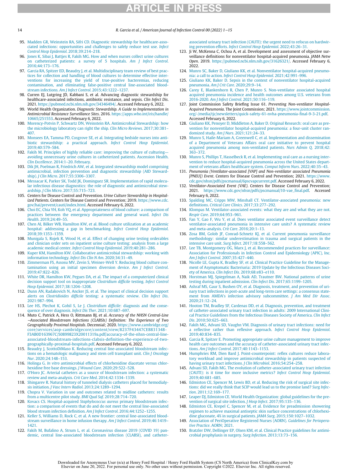#### 14 R. Garcia et al. / American Journal of Infection Control 00 (2022) 1−15

- <span id="page-15-0"></span>95. [Madden GR, Weinstein RA, Sifri CD. Diagnostic stewardship for healthcare-asso](http://refhub.elsevier.com/S0196-6553(22)00357-1/sbref0095)[ciated infections: opportunities and challenges to safely reduce test use.](http://refhub.elsevier.com/S0196-6553(22)00357-1/sbref0095) Infect [Control Hosp Epidemiol](http://refhub.elsevier.com/S0196-6553(22)00357-1/sbref0095). 2018;39:214–218.
- <span id="page-15-28"></span><span id="page-15-1"></span>96. [Jones K, Sibai J, Battjes R, Fakih MG. How and when nurses collect urine cultures](http://refhub.elsevier.com/S0196-6553(22)00357-1/sbref0096) [on catheterized patients: a survey of 5 hospitals.](http://refhub.elsevier.com/S0196-6553(22)00357-1/sbref0096) Am J Infect Control. [2016;44:173](http://refhub.elsevier.com/S0196-6553(22)00357-1/sbref0096)–176.
- <span id="page-15-29"></span><span id="page-15-2"></span>97. [Garcia RA, Spitzer ED, Beaudry J, et al. Multidisciplinary team review of best prac](http://refhub.elsevier.com/S0196-6553(22)00357-1/sbref0097)[tices for collection and handling of blood cultures to determine effective inter](http://refhub.elsevier.com/S0196-6553(22)00357-1/sbref0097)[ventions for increasing the yield of true-positive bacteremias, reducing](http://refhub.elsevier.com/S0196-6553(22)00357-1/sbref0097) [contamination, and eliminating false-positive central line-associated blood](http://refhub.elsevier.com/S0196-6553(22)00357-1/sbref0097)stream infections. [Am J Infect Control](http://refhub.elsevier.com/S0196-6553(22)00357-1/sbref0097). 2015;43:1222–1237.
- <span id="page-15-31"></span><span id="page-15-3"></span>98. Curren EJ, Lutgring JD, Kabbani S, et al. Advancing diagnostic stewardship for healthcare-associated infections, antibiotic resistance, and sepsis. Clin Infect Dis. 2021. <https://pubmed.ncbi.nlm.nih.gov/34346494/>. Accessed February 6, 2022.
- <span id="page-15-30"></span><span id="page-15-4"></span>99. World Health Organization. Diagnostic Stewardship. A Guide to Implementation in Antimicrobial Resistance Surveillance Sites. 2016. [https://apps.who.int/iris/handle/](https://apps.who.int/iris/handle/10665/251553) [10665/251553.](https://apps.who.int/iris/handle/10665/251553) Accessed February 6, 2022.
- <span id="page-15-32"></span><span id="page-15-5"></span>100. [Morency-Potvin P, Schwartz DN, Weinstein RA. Antimicrobial Stewardship: how](http://refhub.elsevier.com/S0196-6553(22)00357-1/sbref0100) [the microbiology laboratory can right the ship.](http://refhub.elsevier.com/S0196-6553(22)00357-1/sbref0100) Clin Micro Reviews. 2017;30:381– [407.](http://refhub.elsevier.com/S0196-6553(22)00357-1/sbref0100)
- <span id="page-15-33"></span><span id="page-15-6"></span>101. [Monsees EA, Tamma PD, Cosgrove SE, et al. Integrating bedside nurses into anti](http://refhub.elsevier.com/S0196-6553(22)00357-1/sbref0101)[biotic stewardship: a practical approach.](http://refhub.elsevier.com/S0196-6553(22)00357-1/sbref0101) Infect Control Hosp Epidemiol. [2019;40:579](http://refhub.elsevier.com/S0196-6553(22)00357-1/sbref0101)–584.
- <span id="page-15-34"></span><span id="page-15-7"></span>102. [Fakih M. Principles of highly reliable care: improving the culture of culturing](http://refhub.elsevier.com/S0196-6553(22)00357-1/sbref0102)[avoiding unnecessary urine cultures in catheterized patients. Ascension Health.](http://refhub.elsevier.com/S0196-6553(22)00357-1/sbref0102) [Clin Excellence](http://refhub.elsevier.com/S0196-6553(22)00357-1/sbref0102). 2014:1–20. February.
- <span id="page-15-35"></span><span id="page-15-8"></span>103. [Dik JH, Poelman R, Friedrich AW, et al. Integrated stewardship model comprising](http://refhub.elsevier.com/S0196-6553(22)00357-1/sbref0103) [antimicrobial, infection prevention and diagnostic stewardship \(AID Steward](http://refhub.elsevier.com/S0196-6553(22)00357-1/sbref0103)ship). J Clin Micro[. 2017;55:3306](http://refhub.elsevier.com/S0196-6553(22)00357-1/sbref0103)–3307.
- <span id="page-15-36"></span><span id="page-15-9"></span>104. [Messacar K, Parker SK, Todd JK, Dominguez SR. Implementation of rapid molecu](http://refhub.elsevier.com/S0196-6553(22)00357-1/sbref0104)[lar infectious disease diagnostics: the role of diagnostic and antimicrobial stew-](http://refhub.elsevier.com/S0196-6553(22)00357-1/sbref0104)ardship. J Clin Micro[. 2017;55:715](http://refhub.elsevier.com/S0196-6553(22)00357-1/sbref0104)–723.
- <span id="page-15-37"></span><span id="page-15-10"></span>105. Centers for Disease Control and Prevention. Urine Culture Stewardship in Hospitalized Patients. Centers for Disease Control and Prevention; 2019. [https://www.cdc.](https://www.cdc.gov/hai/prevent/cauti/index.html) [gov/hai/prevent/cauti/index.html](https://www.cdc.gov/hai/prevent/cauti/index.html). Accessed February 6, 2022.
- <span id="page-15-38"></span><span id="page-15-11"></span>106. [Choi EC, Chia YH, Koh YQ, et al. Appropriateness of blood culture: a comparison of](http://refhub.elsevier.com/S0196-6553(22)00357-1/sbref0106) [practices between the emergency department and general ward.](http://refhub.elsevier.com/S0196-6553(22)00357-1/sbref0106) Infect Dis Health[. 2019;24:49](http://refhub.elsevier.com/S0196-6553(22)00357-1/sbref0106)–55.
- <span id="page-15-39"></span><span id="page-15-12"></span>107. [Chen AI, Bilker WB, Hamilton KW, et al. Blood culture utilization at an academic](http://refhub.elsevier.com/S0196-6553(22)00357-1/sbref0107) [hospital: addressing a gap in benchmarking.](http://refhub.elsevier.com/S0196-6553(22)00357-1/sbref0107) Infect Control Hosp Epidemiol. [2018;39:1353](http://refhub.elsevier.com/S0196-6553(22)00357-1/sbref0107)–1359.
- <span id="page-15-40"></span><span id="page-15-13"></span>108. [Munigala S, Rojek R, Wood H, et al. Effect of changing urine testing orderables](http://refhub.elsevier.com/S0196-6553(22)00357-1/sbref0108) [and clinician order sets on inpatient urine culture testing: analysis from a large](http://refhub.elsevier.com/S0196-6553(22)00357-1/sbref0108) academic medical center. [Infect Control Hosp Epidemiol](http://refhub.elsevier.com/S0196-6553(22)00357-1/sbref0108). 2019;40:281–286.
- <span id="page-15-41"></span><span id="page-15-14"></span>109. [Kuper KM, Hamilton KW. Collaborative antimicrobial stewardship: working with](http://refhub.elsevier.com/S0196-6553(22)00357-1/sbref0109) [information technology.](http://refhub.elsevier.com/S0196-6553(22)00357-1/sbref0109) Infect Dis Clin N Am. 2020;34:31–49.
- <span id="page-15-42"></span><span id="page-15-15"></span>110. [Zimmerman FS, Assosu MV, Zevin S, Weiner-Well Y. Reducing blood culture con](http://refhub.elsevier.com/S0196-6553(22)00357-1/sbref0110)[tamination using an initial specimen diversion device.](http://refhub.elsevier.com/S0196-6553(22)00357-1/sbref0110) Am J Infect Control. [2019;47:822](http://refhub.elsevier.com/S0196-6553(22)00357-1/sbref0110)–826.
- <span id="page-15-43"></span><span id="page-15-16"></span>111. [White DR, Hamilton KW, Pegues DA, et al. The impact of a computerized clinical](http://refhub.elsevier.com/S0196-6553(22)00357-1/sbref0111) [decision support tool on inappropriate](http://refhub.elsevier.com/S0196-6553(22)00357-1/sbref0111) Clostridium difficile testing. Infect Control Hosp Epidemiol[. 2017;38:1204](http://refhub.elsevier.com/S0196-6553(22)00357-1/sbref0111)–1208.
- <span id="page-15-44"></span><span id="page-15-17"></span>112. [Dunn AN, Radakovich N, Ancker JS, et al. The impact of clinical decision support](http://refhub.elsevier.com/S0196-6553(22)00357-1/sbref0112) alerts on Clostridioides difficile [testing: a systematic review.](http://refhub.elsevier.com/S0196-6553(22)00357-1/sbref0112) Clin Infect Dis. [2021:987](http://refhub.elsevier.com/S0196-6553(22)00357-1/sbref0112)–994.
- <span id="page-15-45"></span><span id="page-15-18"></span>113. [Lee HS, Plechot K, Gohil S, Le J.](http://refhub.elsevier.com/S0196-6553(22)00357-1/sbref0113) Clostridium difficile: diagnosis and the conse[quence of over diagnosis.](http://refhub.elsevier.com/S0196-6553(22)00357-1/sbref0113) Infect Dis Ther. 2021;10:687-697
- <span id="page-15-46"></span><span id="page-15-19"></span>114. Muto C, Patrick A, Hess O, Rittmann BJ, et al. Accuracy of the NHSN Central-Line <sup>−</sup>Associated Bloodstream Infections (CLABSIs) Definition: The Experience of Two Geographically Proximal Hospitals. Decennial; 2020. [https://www.cambridge.org/](https://www.cambridge.org/core/services/aop-cambridgecore/content/view/8237F43447CEB831348F3AB0D163967C/S0899823X20011319a.pdf/accuracy-of-the-nhsn-central-lineassociated-bloodstream-infections-clabsis-definition-the-experience-of-two-geographically-proximal-hospitals.pdf) [core/services/aop-cambridgecore/content/view/8237F43447CEB831348-](https://www.cambridge.org/core/services/aop-cambridgecore/content/view/8237F43447CEB831348F3AB0D163967C/S0899823X20011319a.pdf/accuracy-of-the-nhsn-central-lineassociated-bloodstream-infections-clabsis-definition-the-experience-of-two-geographically-proximal-hospitals.pdf) [F3AB0D163967C/S0899823X20011319a.pdf/accuracy-of-the-nhsn-central-line](https://www.cambridge.org/core/services/aop-cambridgecore/content/view/8237F43447CEB831348F3AB0D163967C/S0899823X20011319a.pdf/accuracy-of-the-nhsn-central-lineassociated-bloodstream-infections-clabsis-definition-the-experience-of-two-geographically-proximal-hospitals.pdf)[associated-bloodstream-infections-clabsis-de](https://www.cambridge.org/core/services/aop-cambridgecore/content/view/8237F43447CEB831348F3AB0D163967C/S0899823X20011319a.pdf/accuracy-of-the-nhsn-central-lineassociated-bloodstream-infections-clabsis-definition-the-experience-of-two-geographically-proximal-hospitals.pdf)finition-the-experience-of-two[geographically-proximal-hospitals.pdf.](https://www.cambridge.org/core/services/aop-cambridgecore/content/view/8237F43447CEB831348F3AB0D163967C/S0899823X20011319a.pdf/accuracy-of-the-nhsn-central-lineassociated-bloodstream-infections-clabsis-definition-the-experience-of-two-geographically-proximal-hospitals.pdf) Accessed February 6, 2022.
- <span id="page-15-48"></span><span id="page-15-47"></span><span id="page-15-20"></span>115. [Beaudry J, ScottoDiMaso K. Reducing central line-associated bloodstream infec](http://refhub.elsevier.com/S0196-6553(22)00357-1/sbref0115)[tions on a hematologic malignancy and stem cell transplant unit.](http://refhub.elsevier.com/S0196-6553(22)00357-1/sbref0115) Clin J Oncology Nur[. 2020;24:148](http://refhub.elsevier.com/S0196-6553(22)00357-1/sbref0115)–153.
- <span id="page-15-49"></span><span id="page-15-21"></span>116. Holinga G. In vitro [antimicrobial effects of chlorhexidine diacetate versus chlor](http://refhub.elsevier.com/S0196-6553(22)00357-1/sbref0116)[hexidine free base dressings.](http://refhub.elsevier.com/S0196-6553(22)00357-1/sbref0116) J Wound Care. 2020;29:522–528.
- <span id="page-15-22"></span>117. O'[Horo JC. Arterial catheters as a source of bloodstream infection: a systematic](http://refhub.elsevier.com/S0196-6553(22)00357-1/sbref0117) [review and meta-analysis.](http://refhub.elsevier.com/S0196-6553(22)00357-1/sbref0117) Crit Care Med. 2014;42:1334–1339.
- <span id="page-15-50"></span><span id="page-15-23"></span>118. [Shingarev R. Natural history of tunneled dialysis catheters placed for hemodialy](http://refhub.elsevier.com/S0196-6553(22)00357-1/sbref0118)sis initiation. [J Vasc Interv Radiol](http://refhub.elsevier.com/S0196-6553(22)00357-1/sbref0118). 2013;24:1289–1294.
- <span id="page-15-24"></span>[Chopra V. Variation in use and outcomes related to midline catheters: results](http://refhub.elsevier.com/S0196-6553(22)00357-1/sbref0119) [from a multicentre pilot study.](http://refhub.elsevier.com/S0196-6553(22)00357-1/sbref0119) BMI Qual Saf. 2019;28:714–720.
- <span id="page-15-52"></span><span id="page-15-51"></span><span id="page-15-25"></span>120. [Kovacs CS. Hospital-acquired](http://refhub.elsevier.com/S0196-6553(22)00357-1/sbref0120) Staphylococcus aureus primary bloodstream infec[tion: a comparison of events that do and do not meet the central line-associated](http://refhub.elsevier.com/S0196-6553(22)00357-1/sbref0120) [blood stream infection de](http://refhub.elsevier.com/S0196-6553(22)00357-1/sbref0120)finition. Am J Infect Control. 2016;44:1252–1255.
- <span id="page-15-53"></span><span id="page-15-26"></span>121. [Keller S, Williams D, Rock C, et al. A new frontier: central line-associated blood](http://refhub.elsevier.com/S0196-6553(22)00357-1/sbref0121)[stream surveillance in home infusion therapy.](http://refhub.elsevier.com/S0196-6553(22)00357-1/sbref0121) Am J Infect Control. 2019;46:1419– [1421.](http://refhub.elsevier.com/S0196-6553(22)00357-1/sbref0121)
- <span id="page-15-54"></span><span id="page-15-27"></span>122. [Fakih M, Bufalino A, Strum L, et al. Coronavirus disease 2019 \(COVID 19\) pan](http://refhub.elsevier.com/S0196-6553(22)00357-1/sbref0122)[demic, central line-associated bloodstream infection \(CLABSI\), and catheter-](http://refhub.elsevier.com/S0196-6553(22)00357-1/sbref0122)

[associated urinary tract infection \(CAUTI\): the urgent need to refocus on hardwir](http://refhub.elsevier.com/S0196-6553(22)00357-1/sbref0122)ing prevention efforts. [Infect Control Hosp Epidemiol](http://refhub.elsevier.com/S0196-6553(22)00357-1/sbref0122). 2022;43:26–31.

- 123. Ji W, McKenna C, Ochoa A, et al. Development and assessment of objective surveillance definitions for nonventilator hospital-acquired pneumonia. JAMA Netw Open. 2019. [https://pubmed.ncbi.nlm.nih.gov/31626321/.](https://pubmed.ncbi.nlm.nih.gov/31626321/) Accessed February 6, 2022.
- 124. [Munro SC, Baker D, Giuliano KK, et al. Nonventilator hospital-acquired pneumo](http://refhub.elsevier.com/S0196-6553(22)00357-1/sbref0124)nia: a call to action. [Infect Control Hosp Epidemiol](http://refhub.elsevier.com/S0196-6553(22)00357-1/sbref0124). 2021;42:991–996.
- 125. [Giuliano KK, Baker D. Sepsis in the context of nonventilator hospital-acquired](http://refhub.elsevier.com/S0196-6553(22)00357-1/sbref0125) pneumonia. [Am J Crit Care](http://refhub.elsevier.com/S0196-6553(22)00357-1/sbref0125). 2020;29:9–14.
- 126. [Carey E, Blankenhorn R, Chen P, Munro S. Non-ventilator associated hospital](http://refhub.elsevier.com/S0196-6553(22)00357-1/sbref0126) [acquired pneumonia incidence and health outcomes among U.S. veterans from](http://refhub.elsevier.com/S0196-6553(22)00357-1/sbref0126) 2016-2020. [Am J Infect Control](http://refhub.elsevier.com/S0196-6553(22)00357-1/sbref0126). 2021;50:116–119.
- 127. Joint Commission Safety Briefing Issue 61. Preventing Non-ventilator Hospital-Acquired Pneumonia. The Joint Commission; 2021. [https://www.jointcommission.](https://www.jointcommission.org/-/media/tjc/newsletters/quick-safety-61-nvha-pneumonia-final-9-3-21.pdf) [org/-/media/tjc/newsletters/quick-safety-61-nvha-pneumonia-](https://www.jointcommission.org/-/media/tjc/newsletters/quick-safety-61-nvha-pneumonia-final-9-3-21.pdf)final-9-3-21.pdf. Accessed February 6, 2022.
- 128. [Giuliano KK, Penoyer D, Middleton A, Baker D. Original Research: oral care as pre](http://refhub.elsevier.com/S0196-6553(22)00357-1/sbref0128)[vention for nonventilator hospital-acquired pneumonia: a four-unit cluster ran](http://refhub.elsevier.com/S0196-6553(22)00357-1/sbref0128)[domized study.](http://refhub.elsevier.com/S0196-6553(22)00357-1/sbref0128) Am J Nurs. 2021;121:24–33.
- [Munro S, Haile-Mariam A, Greenwell C, et al. Implementation and dissemination](http://refhub.elsevier.com/S0196-6553(22)00357-1/sbref0129) [of a Department of Veterans Affairs oral care initiative to prevent hospital](http://refhub.elsevier.com/S0196-6553(22)00357-1/sbref0129) [acquired pneumonia among non-ventilated patients.](http://refhub.elsevier.com/S0196-6553(22)00357-1/sbref0129) Nurs Admin Q. 2018;42: 363–[372.](http://refhub.elsevier.com/S0196-6553(22)00357-1/sbref0129)
- 130. [Munro S, Phillips T, Hasselbeck R, et al. Implementing oral care as a nursing inter](http://refhub.elsevier.com/S0196-6553(22)00357-1/sbref0130)[vention to reduce hospital-acquired pneumonia across the United States depart](http://refhub.elsevier.com/S0196-6553(22)00357-1/sbref0130)[ment of veterans affairs healthcare system.](http://refhub.elsevier.com/S0196-6553(22)00357-1/sbref0130) Comput Inform Nurs. 2022;40:35–43.
- 131. Pneumonia (Ventilator-associated [VAP] and Non-ventilator associated Pneumonia [PNEU]) Event. Centers for Disease Control and Prevention; 2021. [https://www.](https://www.cdc.gov/nhsn/pdfs/pscmanual/6pscvapcurrent.pdf) [cdc.gov/nhsn/pdfs/pscmanual/6pscvapcurrent.pdf](https://www.cdc.gov/nhsn/pdfs/pscmanual/6pscvapcurrent.pdf). Accessed February 6, 2022.
- 132. Ventilator-Associated Event (VAE). Centers for Disease Control and Prevention; 2021. [https://www.cdc.gov/nhsn/pdfs/pscmanual/10-vae\\_](https://www.cdc.gov/nhsn/pdfs/pscmanual/10-vae_final.pdf)final.pdf. Accessed February 6, 2022.
- 133. [Spalding MC, Cripps MW, Minshall CT. Ventilator-associated pneumonia: new](http://refhub.elsevier.com/S0196-6553(22)00357-1/sbref0133) definitions. [Critical Care Clinics](http://refhub.elsevier.com/S0196-6553(22)00357-1/sbref0133). 2017;33:277–292.
- [Klompas M. Ventilator-associated events: what they are and what they are not.](http://refhub.elsevier.com/S0196-6553(22)00357-1/sbref0134) Respir Care[. 2019;64:953](http://refhub.elsevier.com/S0196-6553(22)00357-1/sbref0134)–961.
- 135. [Fan Y, Gao F, Wu Y, et al. Does ventilator associated event surveillance detect](http://refhub.elsevier.com/S0196-6553(22)00357-1/sbref0135) [ventilator-associated pneumonia in intensive care units? A systematic review](http://refhub.elsevier.com/S0196-6553(22)00357-1/sbref0135) [and meta-analysis.](http://refhub.elsevier.com/S0196-6553(22)00357-1/sbref0135) Crit Care. 2016;20:1–13.
- 136. [Zosa BM, Golob JF, Conrad-Schnetz KJ, et al. Current pneumonia surveillance](http://refhub.elsevier.com/S0196-6553(22)00357-1/sbref0136) [methodology: similar underestimation in trauma and surgical patients in the](http://refhub.elsevier.com/S0196-6553(22)00357-1/sbref0136) [intensive care unit.](http://refhub.elsevier.com/S0196-6553(22)00357-1/sbref0136) Surg Infect. 2017;18:558–562.
- 137. [Lee TB, Montgomery OG, Marx J, et al. Recommended practices for surveillance:](http://refhub.elsevier.com/S0196-6553(22)00357-1/sbref0137) [Association for Professionals in Infection Control and Epidemiology \(APIC\), Inc.](http://refhub.elsevier.com/S0196-6553(22)00357-1/sbref0137) [Am J Infect Control](http://refhub.elsevier.com/S0196-6553(22)00357-1/sbref0137). 2007;35:427–440.
- 138. [Nicolle LE, Gupta K, Bradley SF, et al. Clinical Practice Guideline for the Manage](http://refhub.elsevier.com/S0196-6553(22)00357-1/sbref0138)[ment of Asymptomatic Bacteriuria: 2019 Update by the Infectious Diseases Soci](http://refhub.elsevier.com/S0196-6553(22)00357-1/sbref0138)[ety of America.](http://refhub.elsevier.com/S0196-6553(22)00357-1/sbref0138) Clin Infect Dis. 2019;68:e83–e110.
- 139. [Horstman MJ, Spiegelman A, Naik AD, Trautner BW. National patterns of urine](http://refhub.elsevier.com/S0196-6553(22)00357-1/sbref0139) [testing during inpatient admission.](http://refhub.elsevier.com/S0196-6553(22)00357-1/sbref0139) Clin Infect Dis. 2017;65:1199–1205.
- 140. [Ashraf MS, Gaur S, Bushen OY, et al. Diagnosis, treatment, and prevention of uri](http://refhub.elsevier.com/S0196-6553(22)00357-1/sbref0140)[nary tract infections in post-acute and long-term care settings: a consensus state](http://refhub.elsevier.com/S0196-6553(22)00357-1/sbref0140)ment from AMDA'[s infection advisory subcommittee.](http://refhub.elsevier.com/S0196-6553(22)00357-1/sbref0140) J Am Med Dir Assoc. [2020;21:12](http://refhub.elsevier.com/S0196-6553(22)00357-1/sbref0140)–24.
- 141. [Hooton TM, Bradley SF, Cardenas DD, et al. Diagnosis, prevention, and treatment](http://refhub.elsevier.com/S0196-6553(22)00357-1/sbref0141) [of catheter-associated urinary tract infection in adults: 2009 International Clini](http://refhub.elsevier.com/S0196-6553(22)00357-1/sbref0141)[cal Practice Guidelines from the Infectious Diseases Society of America.](http://refhub.elsevier.com/S0196-6553(22)00357-1/sbref0141) Clin Infect Dis[. 2010;50:625](http://refhub.elsevier.com/S0196-6553(22)00357-1/sbref0141)–663.
- 142. [Fakih MG, Advani SD, Vaughn VM. Diagnosis of urinary tract infections: need for](http://refhub.elsevier.com/S0196-6553(22)00357-1/sbref0142) a reflective rather than reflexive approach. [Infect Control Hosp Epidemiol](http://refhub.elsevier.com/S0196-6553(22)00357-1/sbref0142). [2019;40:834](http://refhub.elsevier.com/S0196-6553(22)00357-1/sbref0142)–835.
- 143. [Garcia R, Spitzer E. Promoting appropriate urine culture management to improve](http://refhub.elsevier.com/S0196-6553(22)00357-1/sbref0143) [health care outcomes and the accuracy of catheter-associated urinary tract infec](http://refhub.elsevier.com/S0196-6553(22)00357-1/sbref0143)tions. [Am J Infect Control](http://refhub.elsevier.com/S0196-6553(22)00357-1/sbref0143). 2017;40:1143–1153.
- 144. [Humphries RM, Dien Bard J. Point-counterpoint: re](http://refhub.elsevier.com/S0196-6553(22)00357-1/sbref0144)flex cultures reduce labora[tory workload and improve antimicrobial stewardship in patients suspected of](http://refhub.elsevier.com/S0196-6553(22)00357-1/sbref0144) [having urinary tract infections.](http://refhub.elsevier.com/S0196-6553(22)00357-1/sbref0144) J Clin Microbiol. 2016;54:254–258.
- 145. [Advani SD, Fakih MG. The evolution of catheter-associated urinary tract infection](http://refhub.elsevier.com/S0196-6553(22)00357-1/sbref0145) [\(CAUTI\): is it time for more inclusive metrics?](http://refhub.elsevier.com/S0196-6553(22)00357-1/sbref0145) Infect Control Hosp Epidemiol. [2019;40:681](http://refhub.elsevier.com/S0196-6553(22)00357-1/sbref0145)–685.
- 146. [Edmiston CE, Spencer M, Lewis BD, et al. Reducing the risk of surgical site infec](http://refhub.elsevier.com/S0196-6553(22)00357-1/sbref0146)[tions: did we really think that SCIP would lead us to the promise land?](http://refhub.elsevier.com/S0196-6553(22)00357-1/sbref0146) Surg Infection[. 2011;12:169](http://refhub.elsevier.com/S0196-6553(22)00357-1/sbref0146)–177.
- 147. [Leaper DJ, Edmiston CE. World Health Organization: global guidelines for the pre](http://refhub.elsevier.com/S0196-6553(22)00357-1/sbref0147)[vention of surgical site infection.](http://refhub.elsevier.com/S0196-6553(22)00357-1/sbref0147) J Hosp Infect. 2017;95:135–136.
- 148. [Edmiston CE, Krepel C, Spencer M, et al. Evidence for preadmission showering](http://refhub.elsevier.com/S0196-6553(22)00357-1/sbref0148) [regimen to achieve maximal antiseptic skin surface concentrations of chlorhexi](http://refhub.elsevier.com/S0196-6553(22)00357-1/sbref0148)[dine gluconate, 4% in surgical patients.](http://refhub.elsevier.com/S0196-6553(22)00357-1/sbref0148) JAMA Surg. 2015;150:1027–1032.
- 149. [Association of PeriOperative Registered Nurses \(AORN\).](http://refhub.elsevier.com/S0196-6553(22)00357-1/sbref0149) Guidelines for Perioperative Practice[. AORN; 2021.](http://refhub.elsevier.com/S0196-6553(22)00357-1/sbref0149)
- 150. [Bratzler DW, Dellinger EP, Olsen KM, et al. Clinical Practice guidelines for antimi](http://refhub.elsevier.com/S0196-6553(22)00357-1/sbref0150)[crobial prophylaxis in surgery.](http://refhub.elsevier.com/S0196-6553(22)00357-1/sbref0150) Surg Infection. 2013;13:73–156.